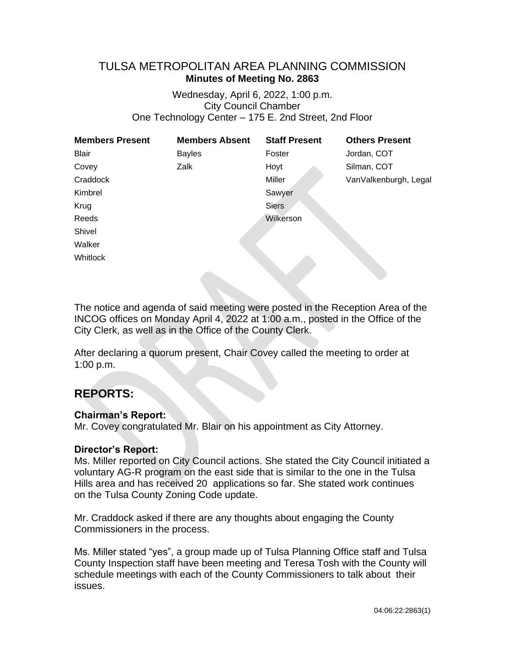# TULSA METROPOLITAN AREA PLANNING COMMISSION **Minutes of Meeting No. 2863**

Wednesday, April 6, 2022, 1:00 p.m. City Council Chamber One Technology Center – 175 E. 2nd Street, 2nd Floor

| <b>Members Present</b> | <b>Members Absent</b> | <b>Staff Present</b> | <b>Others Present</b> |
|------------------------|-----------------------|----------------------|-----------------------|
| Blair                  | <b>Bayles</b>         | Foster               | Jordan, COT           |
| Covey                  | Zalk                  | Hoyt                 | Silman, COT           |
| Craddock               |                       | Miller               | VanValkenburgh, Legal |
| Kimbrel                |                       | Sawyer               |                       |
| Krug                   |                       | <b>Siers</b>         |                       |
| Reeds                  |                       | Wilkerson            |                       |
| Shivel                 |                       |                      |                       |
| Walker                 |                       |                      |                       |
| Whitlock               |                       |                      |                       |

The notice and agenda of said meeting were posted in the Reception Area of the INCOG offices on Monday April 4, 2022 at 1:00 a.m., posted in the Office of the City Clerk, as well as in the Office of the County Clerk.

After declaring a quorum present, Chair Covey called the meeting to order at 1:00 p.m.

# **REPORTS:**

## **Chairman's Report:**

Mr. Covey congratulated Mr. Blair on his appointment as City Attorney.

## **Director's Report:**

Ms. Miller reported on City Council actions. She stated the City Council initiated a voluntary AG-R program on the east side that is similar to the one in the Tulsa Hills area and has received 20 applications so far. She stated work continues on the Tulsa County Zoning Code update.

Mr. Craddock asked if there are any thoughts about engaging the County Commissioners in the process.

Ms. Miller stated "yes", a group made up of Tulsa Planning Office staff and Tulsa County Inspection staff have been meeting and Teresa Tosh with the County will schedule meetings with each of the County Commissioners to talk about their issues.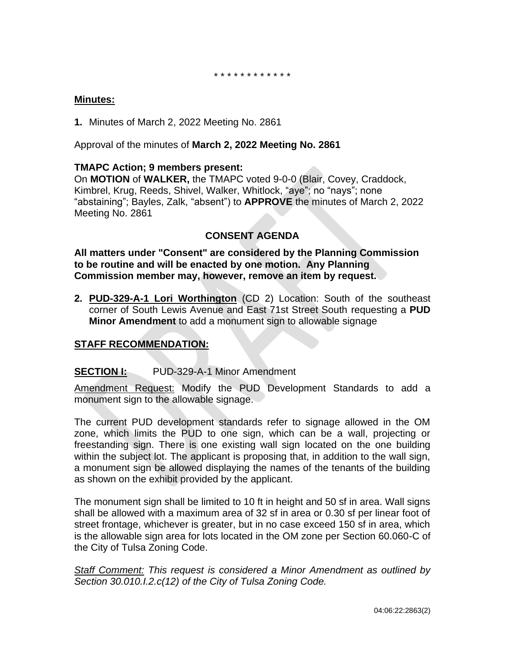#### \* \* \* \* \* \* \* \* \* \* \* \*

#### **Minutes:**

**1.** Minutes of March 2, 2022 Meeting No. 2861

Approval of the minutes of **March 2, 2022 Meeting No. 2861**

#### **TMAPC Action; 9 members present:**

On **MOTION** of **WALKER,** the TMAPC voted 9-0-0 (Blair, Covey, Craddock, Kimbrel, Krug, Reeds, Shivel, Walker, Whitlock, "aye"; no "nays"; none "abstaining"; Bayles, Zalk, "absent") to **APPROVE** the minutes of March 2, 2022 Meeting No. 2861

## **CONSENT AGENDA**

**All matters under "Consent" are considered by the Planning Commission to be routine and will be enacted by one motion. Any Planning Commission member may, however, remove an item by request.**

**2. PUD-329-A-1 Lori Worthington** (CD 2) Location: South of the southeast corner of South Lewis Avenue and East 71st Street South requesting a **PUD Minor Amendment** to add a monument sign to allowable signage

# **STAFF RECOMMENDATION:**

## **SECTION I:** PUD-329-A-1 Minor Amendment

Amendment Request: Modify the PUD Development Standards to add a monument sign to the allowable signage.

The current PUD development standards refer to signage allowed in the OM zone, which limits the PUD to one sign, which can be a wall, projecting or freestanding sign. There is one existing wall sign located on the one building within the subject lot. The applicant is proposing that, in addition to the wall sign, a monument sign be allowed displaying the names of the tenants of the building as shown on the exhibit provided by the applicant.

The monument sign shall be limited to 10 ft in height and 50 sf in area. Wall signs shall be allowed with a maximum area of 32 sf in area or 0.30 sf per linear foot of street frontage, whichever is greater, but in no case exceed 150 sf in area, which is the allowable sign area for lots located in the OM zone per Section 60.060-C of the City of Tulsa Zoning Code.

*Staff Comment: This request is considered a Minor Amendment as outlined by Section 30.010.I.2.c(12) of the City of Tulsa Zoning Code.*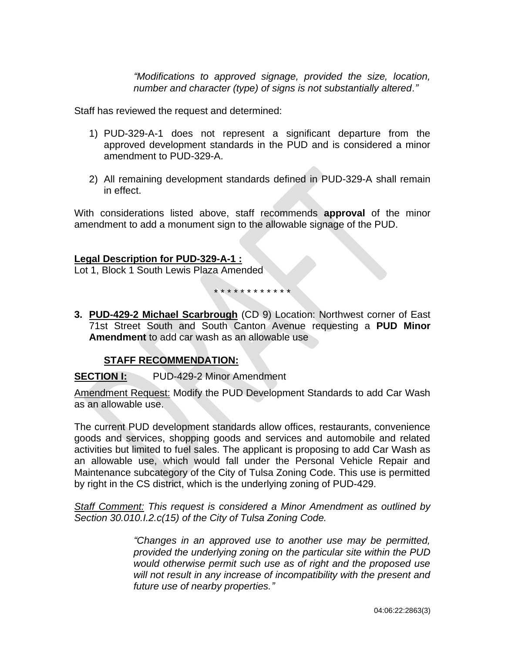*"Modifications to approved signage, provided the size, location, number and character (type) of signs is not substantially altered."*

Staff has reviewed the request and determined:

- 1) PUD-329-A-1 does not represent a significant departure from the approved development standards in the PUD and is considered a minor amendment to PUD-329-A.
- 2) All remaining development standards defined in PUD-329-A shall remain in effect.

With considerations listed above, staff recommends **approval** of the minor amendment to add a monument sign to the allowable signage of the PUD.

#### **Legal Description for PUD-329-A-1 :**

Lot 1, Block 1 South Lewis Plaza Amended

\* \* \* \* \* \* \* \* \* \* \* \*

**3. PUD-429-2 Michael Scarbrough** (CD 9) Location: Northwest corner of East 71st Street South and South Canton Avenue requesting a **PUD Minor Amendment** to add car wash as an allowable use

## **STAFF RECOMMENDATION:**

**SECTION I:** PUD-429-2 Minor Amendment

Amendment Request: Modify the PUD Development Standards to add Car Wash as an allowable use.

The current PUD development standards allow offices, restaurants, convenience goods and services, shopping goods and services and automobile and related activities but limited to fuel sales. The applicant is proposing to add Car Wash as an allowable use, which would fall under the Personal Vehicle Repair and Maintenance subcategory of the City of Tulsa Zoning Code. This use is permitted by right in the CS district, which is the underlying zoning of PUD-429.

*Staff Comment: This request is considered a Minor Amendment as outlined by Section 30.010.I.2.c(15) of the City of Tulsa Zoning Code.*

> *"Changes in an approved use to another use may be permitted, provided the underlying zoning on the particular site within the PUD would otherwise permit such use as of right and the proposed use will not result in any increase of incompatibility with the present and future use of nearby properties."*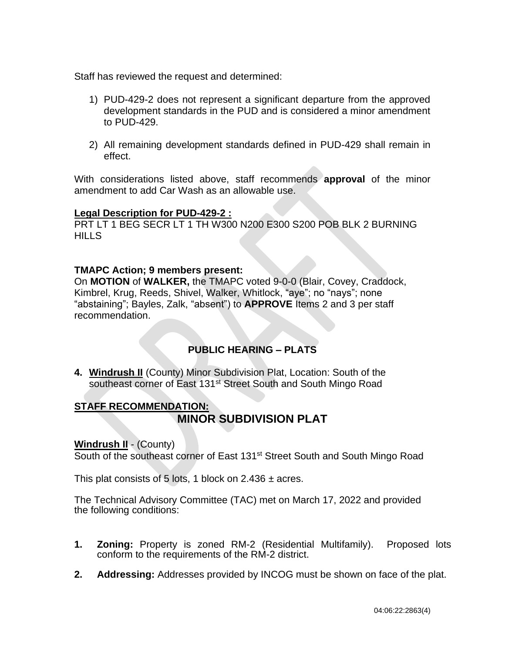Staff has reviewed the request and determined:

- 1) PUD-429-2 does not represent a significant departure from the approved development standards in the PUD and is considered a minor amendment to PUD-429.
- 2) All remaining development standards defined in PUD-429 shall remain in effect.

With considerations listed above, staff recommends **approval** of the minor amendment to add Car Wash as an allowable use.

## **Legal Description for PUD-429-2 :**

PRT LT 1 BEG SECR LT 1 TH W300 N200 E300 S200 POB BLK 2 BURNING **HILLS** 

## **TMAPC Action; 9 members present:**

On **MOTION** of **WALKER,** the TMAPC voted 9-0-0 (Blair, Covey, Craddock, Kimbrel, Krug, Reeds, Shivel, Walker, Whitlock, "aye"; no "nays"; none "abstaining"; Bayles, Zalk, "absent") to **APPROVE** Items 2 and 3 per staff recommendation.

# **PUBLIC HEARING – PLATS**

**4. Windrush II** (County) Minor Subdivision Plat, Location: South of the southeast corner of East 131<sup>st</sup> Street South and South Mingo Road

# **STAFF RECOMMENDATION: MINOR SUBDIVISION PLAT**

## **Windrush II - (County)**

South of the southeast corner of East 131<sup>st</sup> Street South and South Mingo Road

This plat consists of 5 lots, 1 block on 2.436  $\pm$  acres.

The Technical Advisory Committee (TAC) met on March 17, 2022 and provided the following conditions:

- **1. Zoning:** Property is zoned RM-2 (Residential Multifamily). Proposed lots conform to the requirements of the RM-2 district.
- **2. Addressing:** Addresses provided by INCOG must be shown on face of the plat.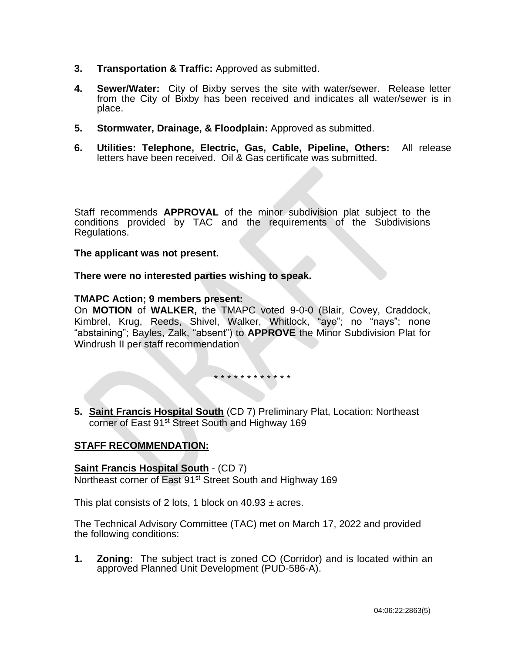- **3. Transportation & Traffic:** Approved as submitted.
- **4. Sewer/Water:** City of Bixby serves the site with water/sewer. Release letter from the City of Bixby has been received and indicates all water/sewer is in place.
- **5. Stormwater, Drainage, & Floodplain:** Approved as submitted.
- **6. Utilities: Telephone, Electric, Gas, Cable, Pipeline, Others:** All release letters have been received. Oil & Gas certificate was submitted.

Staff recommends **APPROVAL** of the minor subdivision plat subject to the conditions provided by TAC and the requirements of the Subdivisions Regulations.

#### **The applicant was not present.**

**There were no interested parties wishing to speak.**

#### **TMAPC Action; 9 members present:**

On **MOTION** of **WALKER,** the TMAPC voted 9-0-0 (Blair, Covey, Craddock, Kimbrel, Krug, Reeds, Shivel, Walker, Whitlock, "aye"; no "nays"; none "abstaining"; Bayles, Zalk, "absent") to **APPROVE** the Minor Subdivision Plat for Windrush II per staff recommendation

\* \* \* \* \* \* \* \* \* \* \* \*

**5. Saint Francis Hospital South** (CD 7) Preliminary Plat, Location: Northeast corner of East 91<sup>st</sup> Street South and Highway 169

#### **STAFF RECOMMENDATION:**

**Saint Francis Hospital South** - (CD 7) Northeast corner of East 91<sup>st</sup> Street South and Highway 169

This plat consists of 2 lots, 1 block on  $40.93 \pm \text{acres}$ .

The Technical Advisory Committee (TAC) met on March 17, 2022 and provided the following conditions:

**1. Zoning:** The subject tract is zoned CO (Corridor) and is located within an approved Planned Unit Development (PUD-586-A).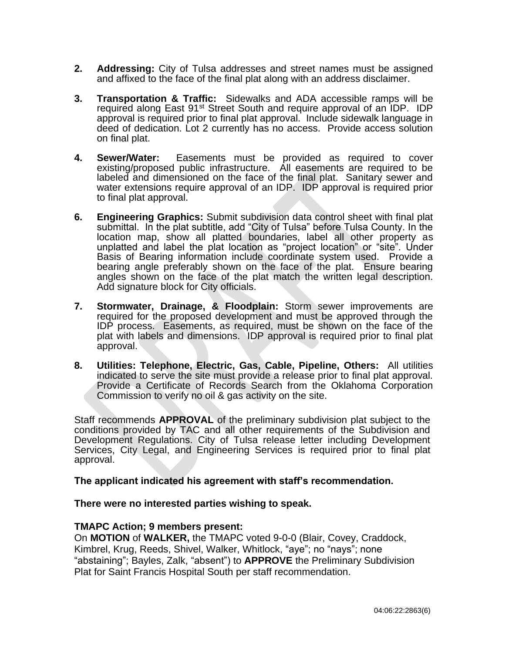- **2. Addressing:** City of Tulsa addresses and street names must be assigned and affixed to the face of the final plat along with an address disclaimer.
- **3. Transportation & Traffic:** Sidewalks and ADA accessible ramps will be required along East 91<sup>st</sup> Street South and require approval of an IDP. IDP approval is required prior to final plat approval. Include sidewalk language in deed of dedication. Lot 2 currently has no access. Provide access solution on final plat.
- **4. Sewer/Water:** Easements must be provided as required to cover existing/proposed public infrastructure. All easements are required to be labeled and dimensioned on the face of the final plat. Sanitary sewer and water extensions require approval of an IDP. IDP approval is required prior to final plat approval.
- **6. Engineering Graphics:** Submit subdivision data control sheet with final plat submittal. In the plat subtitle, add "City of Tulsa" before Tulsa County. In the location map, show all platted boundaries, label all other property as unplatted and label the plat location as "project location" or "site". Under Basis of Bearing information include coordinate system used. Provide a bearing angle preferably shown on the face of the plat. Ensure bearing angles shown on the face of the plat match the written legal description. Add signature block for City officials.
- **7. Stormwater, Drainage, & Floodplain:** Storm sewer improvements are required for the proposed development and must be approved through the IDP process. Easements, as required, must be shown on the face of the plat with labels and dimensions. IDP approval is required prior to final plat approval.
- **8. Utilities: Telephone, Electric, Gas, Cable, Pipeline, Others:** All utilities indicated to serve the site must provide a release prior to final plat approval. Provide a Certificate of Records Search from the Oklahoma Corporation Commission to verify no oil & gas activity on the site.

Staff recommends **APPROVAL** of the preliminary subdivision plat subject to the conditions provided by TAC and all other requirements of the Subdivision and Development Regulations. City of Tulsa release letter including Development Services, City Legal, and Engineering Services is required prior to final plat approval.

#### **The applicant indicated his agreement with staff's recommendation.**

#### **There were no interested parties wishing to speak.**

#### **TMAPC Action; 9 members present:**

On **MOTION** of **WALKER,** the TMAPC voted 9-0-0 (Blair, Covey, Craddock, Kimbrel, Krug, Reeds, Shivel, Walker, Whitlock, "aye"; no "nays"; none "abstaining"; Bayles, Zalk, "absent") to **APPROVE** the Preliminary Subdivision Plat for Saint Francis Hospital South per staff recommendation.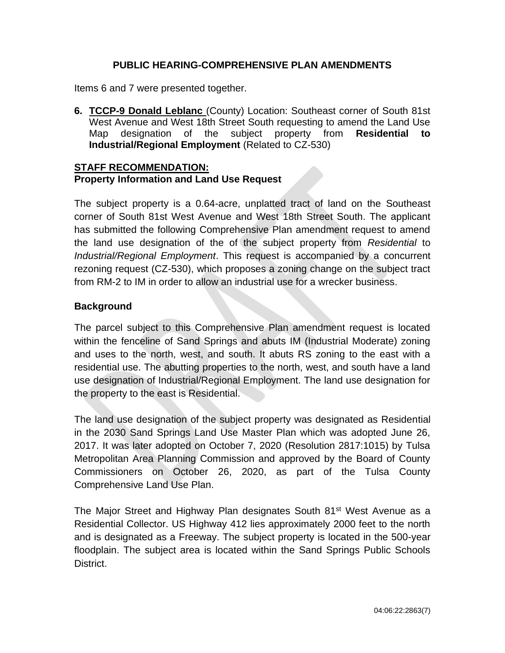## **PUBLIC HEARING-COMPREHENSIVE PLAN AMENDMENTS**

Items 6 and 7 were presented together.

**6. TCCP-9 Donald Leblanc** (County) Location: Southeast corner of South 81st West Avenue and West 18th Street South requesting to amend the Land Use Map designation of the subject property from **Residential to Industrial/Regional Employment** (Related to CZ-530)

#### **STAFF RECOMMENDATION: Property Information and Land Use Request**

The subject property is a 0.64-acre, unplatted tract of land on the Southeast corner of South 81st West Avenue and West 18th Street South. The applicant has submitted the following Comprehensive Plan amendment request to amend the land use designation of the of the subject property from *Residential* to *Industrial/Regional Employment*. This request is accompanied by a concurrent rezoning request (CZ-530), which proposes a zoning change on the subject tract from RM-2 to IM in order to allow an industrial use for a wrecker business.

# **Background**

The parcel subject to this Comprehensive Plan amendment request is located within the fenceline of Sand Springs and abuts IM (Industrial Moderate) zoning and uses to the north, west, and south. It abuts RS zoning to the east with a residential use. The abutting properties to the north, west, and south have a land use designation of Industrial/Regional Employment. The land use designation for the property to the east is Residential.

The land use designation of the subject property was designated as Residential in the 2030 Sand Springs Land Use Master Plan which was adopted June 26, 2017. It was later adopted on October 7, 2020 (Resolution 2817:1015) by Tulsa Metropolitan Area Planning Commission and approved by the Board of County Commissioners on October 26, 2020, as part of the Tulsa County Comprehensive Land Use Plan.

The Major Street and Highway Plan designates South 81<sup>st</sup> West Avenue as a Residential Collector. US Highway 412 lies approximately 2000 feet to the north and is designated as a Freeway. The subject property is located in the 500-year floodplain. The subject area is located within the Sand Springs Public Schools District.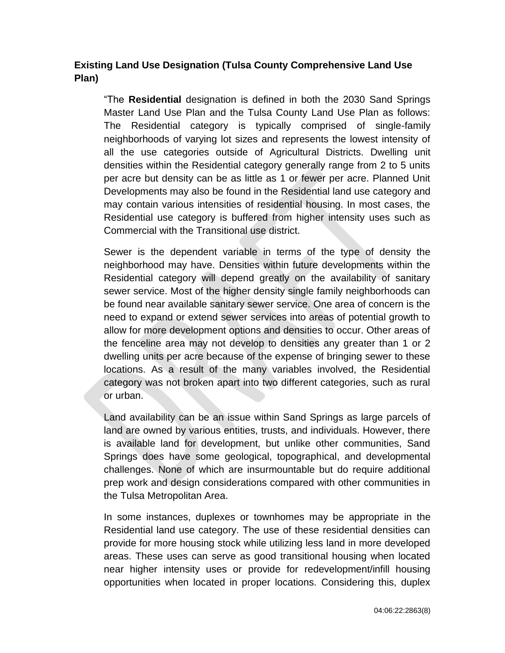# **Existing Land Use Designation (Tulsa County Comprehensive Land Use Plan)**

"The **Residential** designation is defined in both the 2030 Sand Springs Master Land Use Plan and the Tulsa County Land Use Plan as follows: The Residential category is typically comprised of single-family neighborhoods of varying lot sizes and represents the lowest intensity of all the use categories outside of Agricultural Districts. Dwelling unit densities within the Residential category generally range from 2 to 5 units per acre but density can be as little as 1 or fewer per acre. Planned Unit Developments may also be found in the Residential land use category and may contain various intensities of residential housing. In most cases, the Residential use category is buffered from higher intensity uses such as Commercial with the Transitional use district.

Sewer is the dependent variable in terms of the type of density the neighborhood may have. Densities within future developments within the Residential category will depend greatly on the availability of sanitary sewer service. Most of the higher density single family neighborhoods can be found near available sanitary sewer service. One area of concern is the need to expand or extend sewer services into areas of potential growth to allow for more development options and densities to occur. Other areas of the fenceline area may not develop to densities any greater than 1 or 2 dwelling units per acre because of the expense of bringing sewer to these locations. As a result of the many variables involved, the Residential category was not broken apart into two different categories, such as rural or urban.

Land availability can be an issue within Sand Springs as large parcels of land are owned by various entities, trusts, and individuals. However, there is available land for development, but unlike other communities, Sand Springs does have some geological, topographical, and developmental challenges. None of which are insurmountable but do require additional prep work and design considerations compared with other communities in the Tulsa Metropolitan Area.

In some instances, duplexes or townhomes may be appropriate in the Residential land use category. The use of these residential densities can provide for more housing stock while utilizing less land in more developed areas. These uses can serve as good transitional housing when located near higher intensity uses or provide for redevelopment/infill housing opportunities when located in proper locations. Considering this, duplex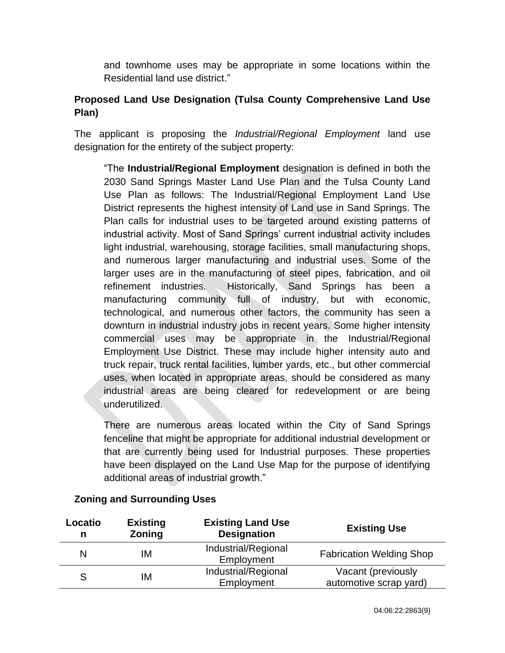and townhome uses may be appropriate in some locations within the Residential land use district."

# **Proposed Land Use Designation (Tulsa County Comprehensive Land Use Plan)**

The applicant is proposing the *Industrial/Regional Employment* land use designation for the entirety of the subject property:

"The **Industrial/Regional Employment** designation is defined in both the 2030 Sand Springs Master Land Use Plan and the Tulsa County Land Use Plan as follows: The Industrial/Regional Employment Land Use District represents the highest intensity of Land use in Sand Springs. The Plan calls for industrial uses to be targeted around existing patterns of industrial activity. Most of Sand Springs' current industrial activity includes light industrial, warehousing, storage facilities, small manufacturing shops, and numerous larger manufacturing and industrial uses. Some of the larger uses are in the manufacturing of steel pipes, fabrication, and oil refinement industries. Historically, Sand Springs has been a manufacturing community full of industry, but with economic, technological, and numerous other factors, the community has seen a downturn in industrial industry jobs in recent years. Some higher intensity commercial uses may be appropriate in the Industrial/Regional Employment Use District. These may include higher intensity auto and truck repair, truck rental facilities, lumber yards, etc., but other commercial uses, when located in appropriate areas, should be considered as many industrial areas are being cleared for redevelopment or are being underutilized.

There are numerous areas located within the City of Sand Springs fenceline that might be appropriate for additional industrial development or that are currently being used for Industrial purposes. These properties have been displayed on the Land Use Map for the purpose of identifying additional areas of industrial growth."

| Locatio<br>n | <b>Existing</b><br>Zoning | <b>Existing Land Use</b><br><b>Designation</b> | <b>Existing Use</b>             |
|--------------|---------------------------|------------------------------------------------|---------------------------------|
| N            | ΙM                        | Industrial/Regional<br>Employment              | <b>Fabrication Welding Shop</b> |
| S            | ΙM                        | Industrial/Regional                            | Vacant (previously              |
|              |                           | Employment                                     | automotive scrap yard)          |

# **Zoning and Surrounding Uses**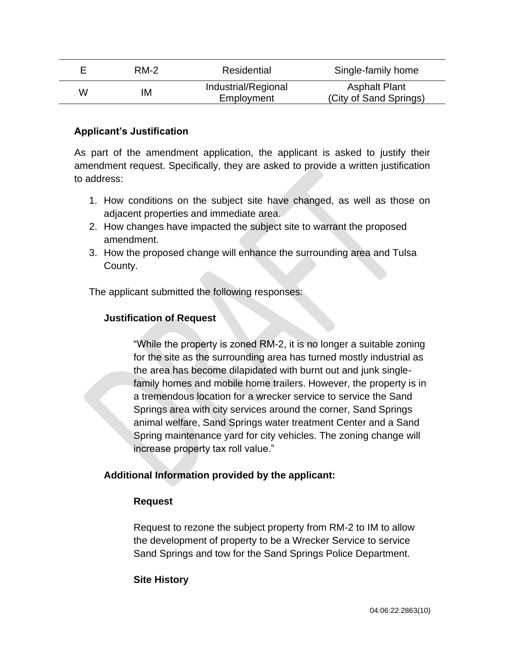|   | RM-2 | Residential                       | Single-family home                             |
|---|------|-----------------------------------|------------------------------------------------|
| W | ΙM   | Industrial/Regional<br>Employment | <b>Asphalt Plant</b><br>(City of Sand Springs) |

## **Applicant's Justification**

As part of the amendment application, the applicant is asked to justify their amendment request. Specifically, they are asked to provide a written justification to address:

- 1. How conditions on the subject site have changed, as well as those on adjacent properties and immediate area.
- 2. How changes have impacted the subject site to warrant the proposed amendment.
- 3. How the proposed change will enhance the surrounding area and Tulsa County.

The applicant submitted the following responses:

#### **Justification of Request**

"While the property is zoned RM-2, it is no longer a suitable zoning for the site as the surrounding area has turned mostly industrial as the area has become dilapidated with burnt out and junk singlefamily homes and mobile home trailers. However, the property is in a tremendous location for a wrecker service to service the Sand Springs area with city services around the corner, Sand Springs animal welfare, Sand Springs water treatment Center and a Sand Spring maintenance yard for city vehicles. The zoning change will increase property tax roll value."

## **Additional Information provided by the applicant:**

#### **Request**

Request to rezone the subject property from RM-2 to IM to allow the development of property to be a Wrecker Service to service Sand Springs and tow for the Sand Springs Police Department.

#### **Site History**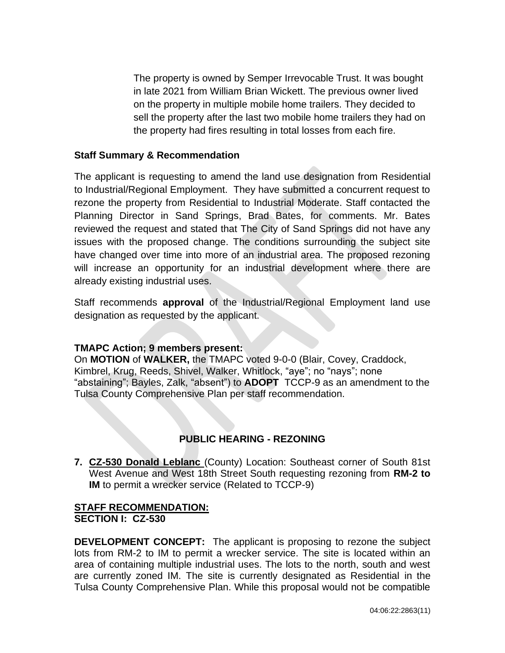The property is owned by Semper Irrevocable Trust. It was bought in late 2021 from William Brian Wickett. The previous owner lived on the property in multiple mobile home trailers. They decided to sell the property after the last two mobile home trailers they had on the property had fires resulting in total losses from each fire.

#### **Staff Summary & Recommendation**

The applicant is requesting to amend the land use designation from Residential to Industrial/Regional Employment. They have submitted a concurrent request to rezone the property from Residential to Industrial Moderate. Staff contacted the Planning Director in Sand Springs, Brad Bates, for comments. Mr. Bates reviewed the request and stated that The City of Sand Springs did not have any issues with the proposed change. The conditions surrounding the subject site have changed over time into more of an industrial area. The proposed rezoning will increase an opportunity for an industrial development where there are already existing industrial uses.

Staff recommends **approval** of the Industrial/Regional Employment land use designation as requested by the applicant.

#### **TMAPC Action; 9 members present:**

On **MOTION** of **WALKER,** the TMAPC voted 9-0-0 (Blair, Covey, Craddock, Kimbrel, Krug, Reeds, Shivel, Walker, Whitlock, "aye"; no "nays"; none "abstaining"; Bayles, Zalk, "absent") to **ADOPT** TCCP-9 as an amendment to the Tulsa County Comprehensive Plan per staff recommendation.

# **PUBLIC HEARING - REZONING**

**7. CZ-530 Donald Leblanc** (County) Location: Southeast corner of South 81st West Avenue and West 18th Street South requesting rezoning from **RM-2 to IM** to permit a wrecker service (Related to TCCP-9)

## **STAFF RECOMMENDATION: SECTION I: CZ-530**

**DEVELOPMENT CONCEPT:** The applicant is proposing to rezone the subject lots from RM-2 to IM to permit a wrecker service. The site is located within an area of containing multiple industrial uses. The lots to the north, south and west are currently zoned IM. The site is currently designated as Residential in the Tulsa County Comprehensive Plan. While this proposal would not be compatible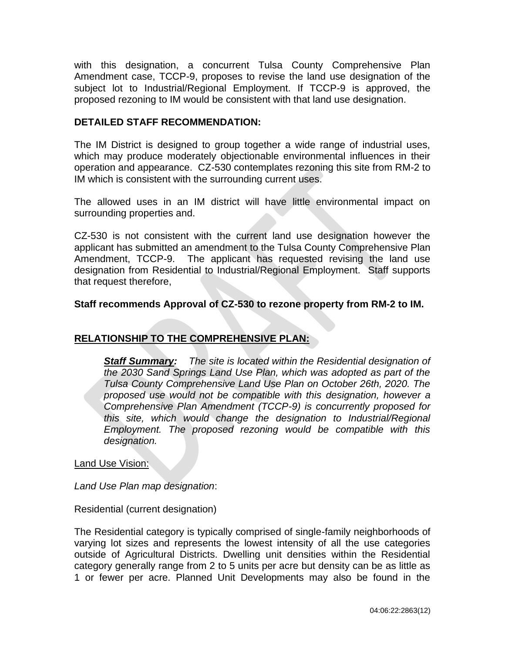with this designation, a concurrent Tulsa County Comprehensive Plan Amendment case, TCCP-9, proposes to revise the land use designation of the subject lot to Industrial/Regional Employment. If TCCP-9 is approved, the proposed rezoning to IM would be consistent with that land use designation.

## **DETAILED STAFF RECOMMENDATION:**

The IM District is designed to group together a wide range of industrial uses, which may produce moderately objectionable environmental influences in their operation and appearance. CZ-530 contemplates rezoning this site from RM-2 to IM which is consistent with the surrounding current uses.

The allowed uses in an IM district will have little environmental impact on surrounding properties and.

CZ-530 is not consistent with the current land use designation however the applicant has submitted an amendment to the Tulsa County Comprehensive Plan Amendment, TCCP-9. The applicant has requested revising the land use designation from Residential to Industrial/Regional Employment. Staff supports that request therefore,

## **Staff recommends Approval of CZ-530 to rezone property from RM-2 to IM.**

# **RELATIONSHIP TO THE COMPREHENSIVE PLAN:**

*Staff Summary: The site is located within the Residential designation of the 2030 Sand Springs Land Use Plan, which was adopted as part of the Tulsa County Comprehensive Land Use Plan on October 26th, 2020. The proposed use would not be compatible with this designation, however a Comprehensive Plan Amendment (TCCP-9) is concurrently proposed for this site, which would change the designation to Industrial/Regional Employment. The proposed rezoning would be compatible with this designation.*

Land Use Vision:

*Land Use Plan map designation*:

Residential (current designation)

The Residential category is typically comprised of single-family neighborhoods of varying lot sizes and represents the lowest intensity of all the use categories outside of Agricultural Districts. Dwelling unit densities within the Residential category generally range from 2 to 5 units per acre but density can be as little as 1 or fewer per acre. Planned Unit Developments may also be found in the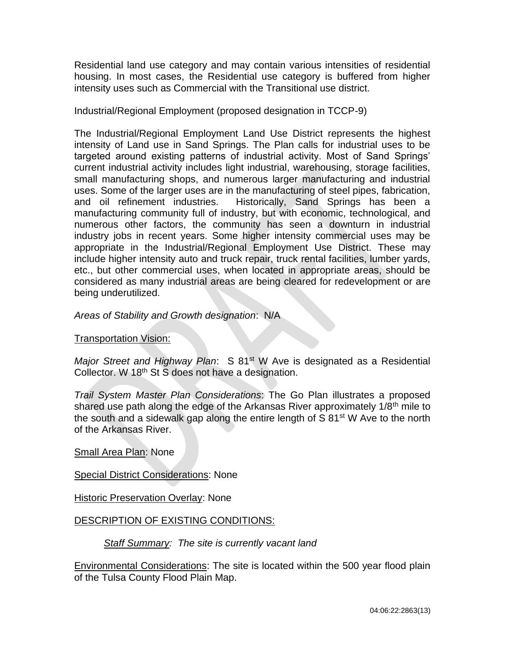Residential land use category and may contain various intensities of residential housing. In most cases, the Residential use category is buffered from higher intensity uses such as Commercial with the Transitional use district.

Industrial/Regional Employment (proposed designation in TCCP-9)

The Industrial/Regional Employment Land Use District represents the highest intensity of Land use in Sand Springs. The Plan calls for industrial uses to be targeted around existing patterns of industrial activity. Most of Sand Springs' current industrial activity includes light industrial, warehousing, storage facilities, small manufacturing shops, and numerous larger manufacturing and industrial uses. Some of the larger uses are in the manufacturing of steel pipes, fabrication, and oil refinement industries. Historically, Sand Springs has been a manufacturing community full of industry, but with economic, technological, and numerous other factors, the community has seen a downturn in industrial industry jobs in recent years. Some higher intensity commercial uses may be appropriate in the Industrial/Regional Employment Use District. These may include higher intensity auto and truck repair, truck rental facilities, lumber yards, etc., but other commercial uses, when located in appropriate areas, should be considered as many industrial areas are being cleared for redevelopment or are being underutilized.

*Areas of Stability and Growth designation*: N/A

## Transportation Vision:

*Major Street and Highway Plan*: S 81<sup>st</sup> W Ave is designated as a Residential Collector. W 18<sup>th</sup> St S does not have a designation.

*Trail System Master Plan Considerations*: The Go Plan illustrates a proposed shared use path along the edge of the Arkansas River approximately 1/8<sup>th</sup> mile to the south and a sidewalk gap along the entire length of  $S$  81<sup>st</sup> W Ave to the north of the Arkansas River.

Small Area Plan: None

Special District Considerations: None

Historic Preservation Overlay: None

# DESCRIPTION OF EXISTING CONDITIONS:

*Staff Summary: The site is currently vacant land*

Environmental Considerations: The site is located within the 500 year flood plain of the Tulsa County Flood Plain Map.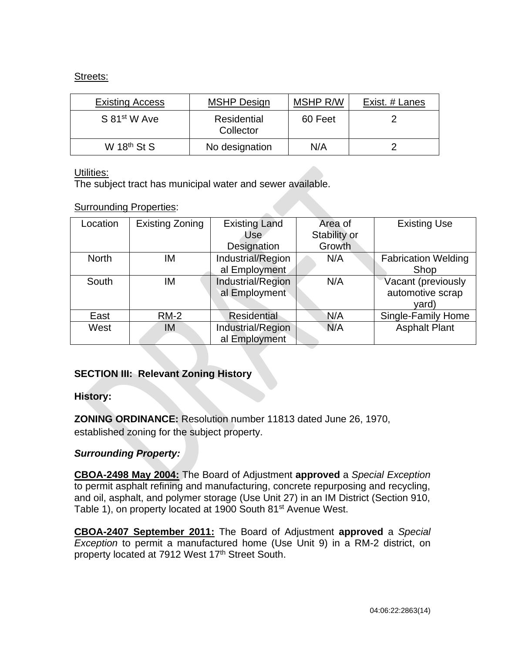## Streets:

| <b>Existing Access</b>   | <b>MSHP Design</b>       | MSHP R/W | Exist. # Lanes |
|--------------------------|--------------------------|----------|----------------|
| S 81 <sup>st</sup> W Ave | Residential<br>Collector | 60 Feet  |                |
| W $18th$ St S            | No designation           | N/A      |                |

#### Utilities:

The subject tract has municipal water and sewer available.

## Surrounding Properties:

| Location     | <b>Existing Zoning</b> | <b>Existing Land</b><br>Use        | Area of<br>Stability or | <b>Existing Use</b>                    |
|--------------|------------------------|------------------------------------|-------------------------|----------------------------------------|
|              |                        | Designation                        | Growth                  |                                        |
| <b>North</b> | ΙM                     | Industrial/Region                  | N/A                     | <b>Fabrication Welding</b>             |
|              |                        | al Employment                      |                         | Shop                                   |
| South        | ΙM                     | Industrial/Region<br>al Employment | N/A                     | Vacant (previously<br>automotive scrap |
|              |                        |                                    |                         | yard)                                  |
| East         | $RM-2$                 | <b>Residential</b>                 | N/A                     | Single-Family Home                     |
| West         | IM                     | Industrial/Region<br>al Employment | N/A                     | <b>Asphalt Plant</b>                   |

# **SECTION III: Relevant Zoning History**

## **History:**

**ZONING ORDINANCE:** Resolution number 11813 dated June 26, 1970, established zoning for the subject property.

# *Surrounding Property:*

**CBOA-2498 May 2004:** The Board of Adjustment **approved** a *Special Exception* to permit asphalt refining and manufacturing, concrete repurposing and recycling, and oil, asphalt, and polymer storage (Use Unit 27) in an IM District (Section 910, Table 1), on property located at 1900 South 81st Avenue West.

**CBOA-2407 September 2011:** The Board of Adjustment **approved** a *Special Exception* to permit a manufactured home (Use Unit 9) in a RM-2 district, on property located at 7912 West 17<sup>th</sup> Street South.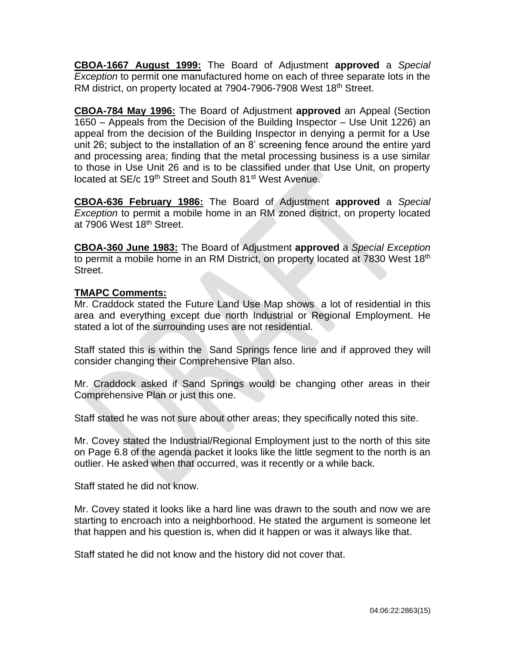**CBOA-1667 August 1999:** The Board of Adjustment **approved** a *Special Exception* to permit one manufactured home on each of three separate lots in the RM district, on property located at 7904-7906-7908 West 18<sup>th</sup> Street.

**CBOA-784 May 1996:** The Board of Adjustment **approved** an Appeal (Section 1650 – Appeals from the Decision of the Building Inspector – Use Unit 1226) an appeal from the decision of the Building Inspector in denying a permit for a Use unit 26; subject to the installation of an 8' screening fence around the entire yard and processing area; finding that the metal processing business is a use similar to those in Use Unit 26 and is to be classified under that Use Unit, on property located at SE/c 19<sup>th</sup> Street and South 81<sup>st</sup> West Avenue.

**CBOA-636 February 1986:** The Board of Adjustment **approved** a *Special Exception* to permit a mobile home in an RM zoned district, on property located at 7906 West 18<sup>th</sup> Street.

**CBOA-360 June 1983:** The Board of Adjustment **approved** a *Special Exception* to permit a mobile home in an RM District, on property located at 7830 West 18<sup>th</sup> Street.

## **TMAPC Comments:**

Mr. Craddock stated the Future Land Use Map shows a lot of residential in this area and everything except due north Industrial or Regional Employment. He stated a lot of the surrounding uses are not residential.

Staff stated this is within the Sand Springs fence line and if approved they will consider changing their Comprehensive Plan also.

Mr. Craddock asked if Sand Springs would be changing other areas in their Comprehensive Plan or just this one.

Staff stated he was not sure about other areas; they specifically noted this site.

Mr. Covey stated the Industrial/Regional Employment just to the north of this site on Page 6.8 of the agenda packet it looks like the little segment to the north is an outlier. He asked when that occurred, was it recently or a while back.

Staff stated he did not know.

Mr. Covey stated it looks like a hard line was drawn to the south and now we are starting to encroach into a neighborhood. He stated the argument is someone let that happen and his question is, when did it happen or was it always like that.

Staff stated he did not know and the history did not cover that.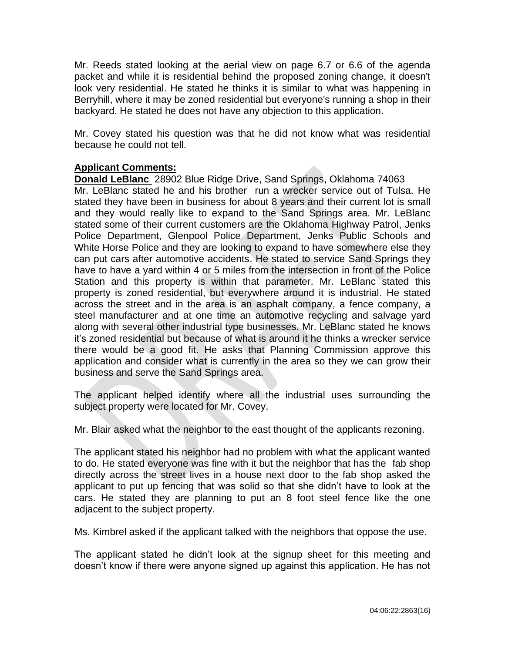Mr. Reeds stated looking at the aerial view on page 6.7 or 6.6 of the agenda packet and while it is residential behind the proposed zoning change, it doesn't look very residential. He stated he thinks it is similar to what was happening in Berryhill, where it may be zoned residential but everyone's running a shop in their backyard. He stated he does not have any objection to this application.

Mr. Covey stated his question was that he did not know what was residential because he could not tell.

## **Applicant Comments:**

**Donald LeBlanc** 28902 Blue Ridge Drive, Sand Springs, Oklahoma 74063 Mr. LeBlanc stated he and his brother run a wrecker service out of Tulsa. He stated they have been in business for about 8 years and their current lot is small and they would really like to expand to the Sand Springs area. Mr. LeBlanc stated some of their current customers are the Oklahoma Highway Patrol, Jenks Police Department, Glenpool Police Department, Jenks Public Schools and White Horse Police and they are looking to expand to have somewhere else they can put cars after automotive accidents. He stated to service Sand Springs they have to have a yard within 4 or 5 miles from the intersection in front of the Police Station and this property is within that parameter. Mr. LeBlanc stated this property is zoned residential, but everywhere around it is industrial. He stated across the street and in the area is an asphalt company, a fence company, a steel manufacturer and at one time an automotive recycling and salvage yard along with several other industrial type businesses. Mr. LeBlanc stated he knows it's zoned residential but because of what is around it he thinks a wrecker service there would be a good fit. He asks that Planning Commission approve this application and consider what is currently in the area so they we can grow their business and serve the Sand Springs area.

The applicant helped identify where all the industrial uses surrounding the subject property were located for Mr. Covey.

Mr. Blair asked what the neighbor to the east thought of the applicants rezoning.

The applicant stated his neighbor had no problem with what the applicant wanted to do. He stated everyone was fine with it but the neighbor that has the fab shop directly across the street lives in a house next door to the fab shop asked the applicant to put up fencing that was solid so that she didn't have to look at the cars. He stated they are planning to put an 8 foot steel fence like the one adjacent to the subject property.

Ms. Kimbrel asked if the applicant talked with the neighbors that oppose the use.

The applicant stated he didn't look at the signup sheet for this meeting and doesn't know if there were anyone signed up against this application. He has not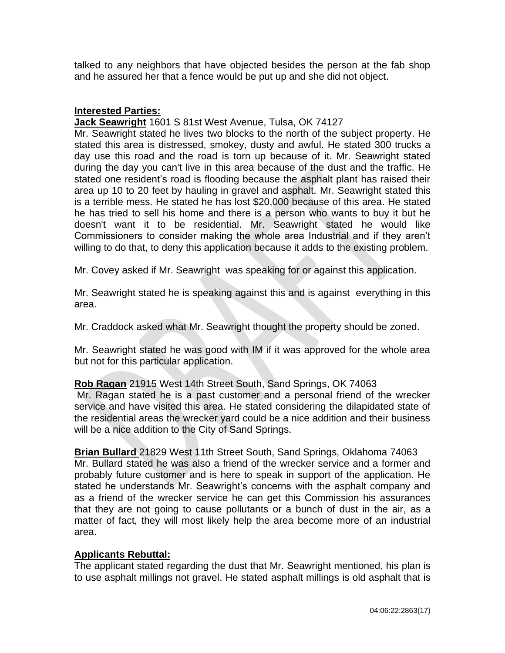talked to any neighbors that have objected besides the person at the fab shop and he assured her that a fence would be put up and she did not object.

## **Interested Parties:**

#### **Jack Seawright** 1601 S 81st West Avenue, Tulsa, OK 74127

Mr. Seawright stated he lives two blocks to the north of the subject property. He stated this area is distressed, smokey, dusty and awful. He stated 300 trucks a day use this road and the road is torn up because of it. Mr. Seawright stated during the day you can't live in this area because of the dust and the traffic. He stated one resident's road is flooding because the asphalt plant has raised their area up 10 to 20 feet by hauling in gravel and asphalt. Mr. Seawright stated this is a terrible mess. He stated he has lost \$20,000 because of this area. He stated he has tried to sell his home and there is a person who wants to buy it but he doesn't want it to be residential. Mr. Seawright stated he would like Commissioners to consider making the whole area Industrial and if they aren't willing to do that, to deny this application because it adds to the existing problem.

Mr. Covey asked if Mr. Seawright was speaking for or against this application.

Mr. Seawright stated he is speaking against this and is against everything in this area.

Mr. Craddock asked what Mr. Seawright thought the property should be zoned.

Mr. Seawright stated he was good with IM if it was approved for the whole area but not for this particular application.

## **Rob Ragan** 21915 West 14th Street South, Sand Springs, OK 74063

Mr. Ragan stated he is a past customer and a personal friend of the wrecker service and have visited this area. He stated considering the dilapidated state of the residential areas the wrecker yard could be a nice addition and their business will be a nice addition to the City of Sand Springs.

## **Brian Bullard** 21829 West 11th Street South, Sand Springs, Oklahoma 74063 Mr. Bullard stated he was also a friend of the wrecker service and a former and probably future customer and is here to speak in support of the application. He stated he understands Mr. Seawright's concerns with the asphalt company and as a friend of the wrecker service he can get this Commission his assurances that they are not going to cause pollutants or a bunch of dust in the air, as a matter of fact, they will most likely help the area become more of an industrial area.

## **Applicants Rebuttal:**

The applicant stated regarding the dust that Mr. Seawright mentioned, his plan is to use asphalt millings not gravel. He stated asphalt millings is old asphalt that is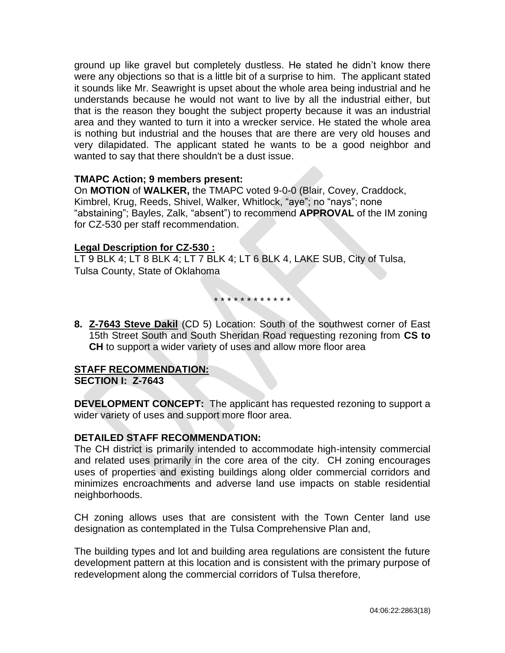ground up like gravel but completely dustless. He stated he didn't know there were any objections so that is a little bit of a surprise to him. The applicant stated it sounds like Mr. Seawright is upset about the whole area being industrial and he understands because he would not want to live by all the industrial either, but that is the reason they bought the subject property because it was an industrial area and they wanted to turn it into a wrecker service. He stated the whole area is nothing but industrial and the houses that are there are very old houses and very dilapidated. The applicant stated he wants to be a good neighbor and wanted to say that there shouldn't be a dust issue.

## **TMAPC Action; 9 members present:**

On **MOTION** of **WALKER,** the TMAPC voted 9-0-0 (Blair, Covey, Craddock, Kimbrel, Krug, Reeds, Shivel, Walker, Whitlock, "aye"; no "nays"; none "abstaining"; Bayles, Zalk, "absent") to recommend **APPROVAL** of the IM zoning for CZ-530 per staff recommendation.

#### **Legal Description for CZ-530 :**

LT 9 BLK 4; LT 8 BLK 4; LT 7 BLK 4; LT 6 BLK 4, LAKE SUB, City of Tulsa, Tulsa County, State of Oklahoma

\* \* \* \* \* \* \* \* \* \* \* \*

**8. Z-7643 Steve Dakil** (CD 5) Location: South of the southwest corner of East 15th Street South and South Sheridan Road requesting rezoning from **CS to CH** to support a wider variety of uses and allow more floor area

# **STAFF RECOMMENDATION:**

**SECTION I: Z-7643**

**DEVELOPMENT CONCEPT:** The applicant has requested rezoning to support a wider variety of uses and support more floor area.

#### **DETAILED STAFF RECOMMENDATION:**

The CH district is primarily intended to accommodate high-intensity commercial and related uses primarily in the core area of the city. CH zoning encourages uses of properties and existing buildings along older commercial corridors and minimizes encroachments and adverse land use impacts on stable residential neighborhoods.

CH zoning allows uses that are consistent with the Town Center land use designation as contemplated in the Tulsa Comprehensive Plan and,

The building types and lot and building area regulations are consistent the future development pattern at this location and is consistent with the primary purpose of redevelopment along the commercial corridors of Tulsa therefore,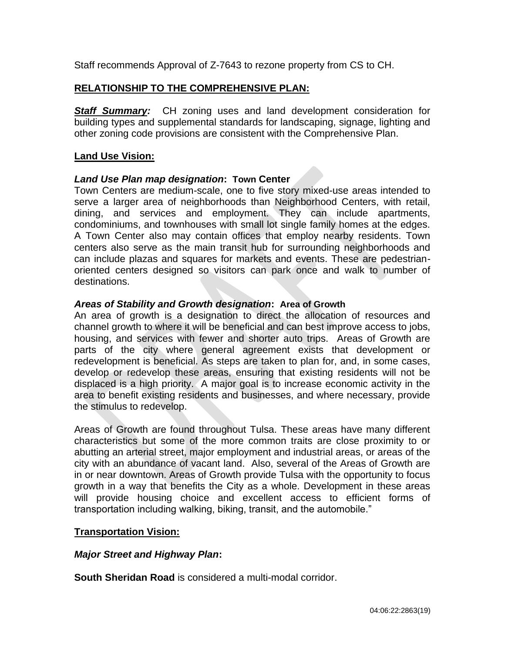Staff recommends Approval of Z-7643 to rezone property from CS to CH.

# **RELATIONSHIP TO THE COMPREHENSIVE PLAN:**

**Staff Summary:** CH zoning uses and land development consideration for building types and supplemental standards for landscaping, signage, lighting and other zoning code provisions are consistent with the Comprehensive Plan.

## **Land Use Vision:**

## *Land Use Plan map designation***: Town Center**

Town Centers are medium-scale, one to five story mixed-use areas intended to serve a larger area of neighborhoods than Neighborhood Centers, with retail, dining, and services and employment. They can include apartments, condominiums, and townhouses with small lot single family homes at the edges. A Town Center also may contain offices that employ nearby residents. Town centers also serve as the main transit hub for surrounding neighborhoods and can include plazas and squares for markets and events. These are pedestrianoriented centers designed so visitors can park once and walk to number of destinations.

## *Areas of Stability and Growth designation***: Area of Growth**

An area of growth is a designation to direct the allocation of resources and channel growth to where it will be beneficial and can best improve access to jobs, housing, and services with fewer and shorter auto trips. Areas of Growth are parts of the city where general agreement exists that development or redevelopment is beneficial. As steps are taken to plan for, and, in some cases, develop or redevelop these areas, ensuring that existing residents will not be displaced is a high priority. A major goal is to increase economic activity in the area to benefit existing residents and businesses, and where necessary, provide the stimulus to redevelop.

Areas of Growth are found throughout Tulsa. These areas have many different characteristics but some of the more common traits are close proximity to or abutting an arterial street, major employment and industrial areas, or areas of the city with an abundance of vacant land. Also, several of the Areas of Growth are in or near downtown. Areas of Growth provide Tulsa with the opportunity to focus growth in a way that benefits the City as a whole. Development in these areas will provide housing choice and excellent access to efficient forms of transportation including walking, biking, transit, and the automobile."

## **Transportation Vision:**

# *Major Street and Highway Plan***:**

**South Sheridan Road** is considered a multi-modal corridor.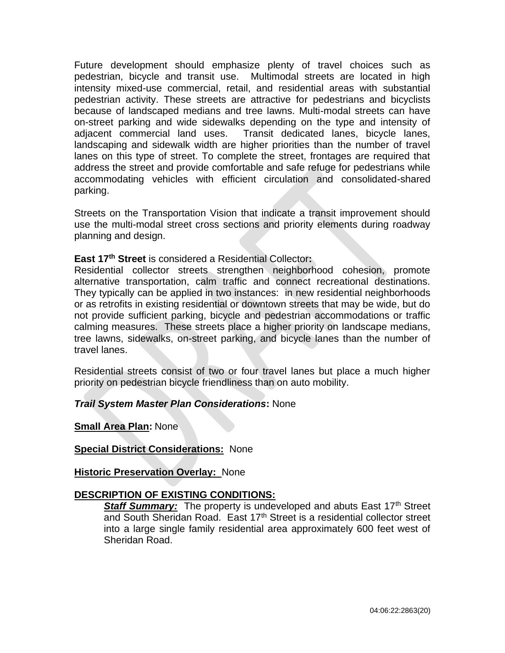Future development should emphasize plenty of travel choices such as pedestrian, bicycle and transit use. Multimodal streets are located in high intensity mixed-use commercial, retail, and residential areas with substantial pedestrian activity. These streets are attractive for pedestrians and bicyclists because of landscaped medians and tree lawns. Multi-modal streets can have on-street parking and wide sidewalks depending on the type and intensity of adjacent commercial land uses. Transit dedicated lanes, bicycle lanes, landscaping and sidewalk width are higher priorities than the number of travel lanes on this type of street. To complete the street, frontages are required that address the street and provide comfortable and safe refuge for pedestrians while accommodating vehicles with efficient circulation and consolidated-shared parking.

Streets on the Transportation Vision that indicate a transit improvement should use the multi-modal street cross sections and priority elements during roadway planning and design.

**East 17th Street** is considered a Residential Collector**:**

Residential collector streets strengthen neighborhood cohesion, promote alternative transportation, calm traffic and connect recreational destinations. They typically can be applied in two instances: in new residential neighborhoods or as retrofits in existing residential or downtown streets that may be wide, but do not provide sufficient parking, bicycle and pedestrian accommodations or traffic calming measures. These streets place a higher priority on landscape medians, tree lawns, sidewalks, on-street parking, and bicycle lanes than the number of travel lanes.

Residential streets consist of two or four travel lanes but place a much higher priority on pedestrian bicycle friendliness than on auto mobility.

## *Trail System Master Plan Considerations***:** None

**Small Area Plan:** None

**Special District Considerations:** None

**Historic Preservation Overlay:** None

## **DESCRIPTION OF EXISTING CONDITIONS:**

**Staff Summary:** The property is undeveloped and abuts East 17<sup>th</sup> Street and South Sheridan Road. East 17<sup>th</sup> Street is a residential collector street into a large single family residential area approximately 600 feet west of Sheridan Road.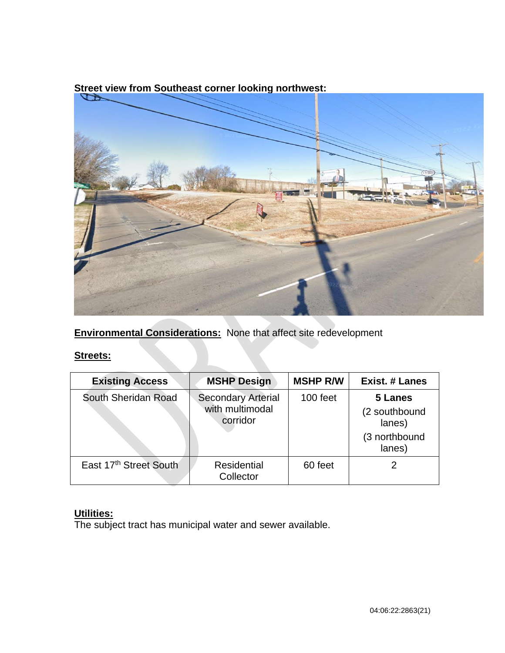

**Street view from Southeast corner looking northwest:** 

**Environmental Considerations:** None that affect site redevelopment

# **Streets:**

| <b>Existing Access</b> | <b>MSHP Design</b>                                       | <b>MSHP R/W</b> | <b>Exist. # Lanes</b>                               |
|------------------------|----------------------------------------------------------|-----------------|-----------------------------------------------------|
| South Sheridan Road    | <b>Secondary Arterial</b><br>with multimodal<br>corridor | 100 feet        | 5 Lanes<br>(2 southbound<br>lanes)<br>(3 northbound |
|                        |                                                          |                 | lanes)                                              |
| East 17th Street South | Residential<br>Collector                                 | 60 feet         |                                                     |

# **Utilities:**

The subject tract has municipal water and sewer available.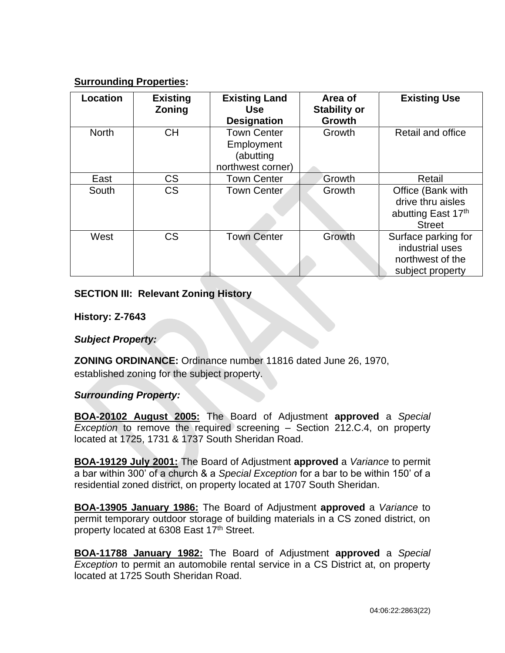# **Surrounding Properties:**

| Location     | <b>Existing</b><br><b>Zoning</b> | <b>Existing Land</b><br><b>Use</b><br><b>Designation</b>           | Area of<br><b>Stability or</b><br><b>Growth</b> | <b>Existing Use</b>                                                            |
|--------------|----------------------------------|--------------------------------------------------------------------|-------------------------------------------------|--------------------------------------------------------------------------------|
| <b>North</b> | <b>CH</b>                        | <b>Town Center</b><br>Employment<br>(abutting<br>northwest corner) | Growth                                          | Retail and office                                                              |
| East         | <b>CS</b>                        | <b>Town Center</b>                                                 | Growth                                          | Retail                                                                         |
| South        | <b>CS</b>                        | <b>Town Center</b>                                                 | Growth                                          | Office (Bank with<br>drive thru aisles<br>abutting East 17th<br><b>Street</b>  |
| West         | <b>CS</b>                        | <b>Town Center</b>                                                 | Growth                                          | Surface parking for<br>industrial uses<br>northwest of the<br>subject property |

# **SECTION III: Relevant Zoning History**

**History: Z-7643**

*Subject Property:* 

**ZONING ORDINANCE:** Ordinance number 11816 dated June 26, 1970, established zoning for the subject property.

## *Surrounding Property:*

**BOA-20102 August 2005:** The Board of Adjustment **approved** a *Special Exception* to remove the required screening – Section 212.C.4, on property located at 1725, 1731 & 1737 South Sheridan Road.

**BOA-19129 July 2001:** The Board of Adjustment **approved** a *Variance* to permit a bar within 300' of a church & a *Special Exception* for a bar to be within 150' of a residential zoned district, on property located at 1707 South Sheridan.

**BOA-13905 January 1986:** The Board of Adjustment **approved** a *Variance* to permit temporary outdoor storage of building materials in a CS zoned district, on property located at 6308 East 17<sup>th</sup> Street.

**BOA-11788 January 1982:** The Board of Adjustment **approved** a *Special Exception* to permit an automobile rental service in a CS District at, on property located at 1725 South Sheridan Road.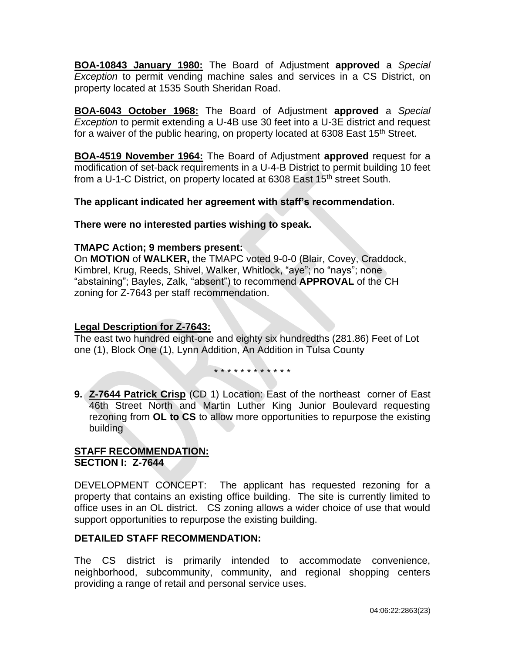**BOA-10843 January 1980:** The Board of Adjustment **approved** a *Special Exception* to permit vending machine sales and services in a CS District, on property located at 1535 South Sheridan Road.

**BOA-6043 October 1968:** The Board of Adjustment **approved** a *Special Exception* to permit extending a U-4B use 30 feet into a U-3E district and request for a waiver of the public hearing, on property located at 6308 East 15<sup>th</sup> Street.

**BOA-4519 November 1964:** The Board of Adjustment **approved** request for a modification of set-back requirements in a U-4-B District to permit building 10 feet from a U-1-C District, on property located at 6308 East 15<sup>th</sup> street South.

**The applicant indicated her agreement with staff's recommendation.**

**There were no interested parties wishing to speak.**

## **TMAPC Action; 9 members present:**

On **MOTION** of **WALKER,** the TMAPC voted 9-0-0 (Blair, Covey, Craddock, Kimbrel, Krug, Reeds, Shivel, Walker, Whitlock, "aye"; no "nays"; none "abstaining"; Bayles, Zalk, "absent") to recommend **APPROVAL** of the CH zoning for Z-7643 per staff recommendation.

# **Legal Description for Z-7643:**

The east two hundred eight-one and eighty six hundredths (281.86) Feet of Lot one (1), Block One (1), Lynn Addition, An Addition in Tulsa County

\* \* \* \* \* \* \* \* \* \* \* \*

**9. Z-7644 Patrick Crisp** (CD 1) Location: East of the northeast corner of East 46th Street North and Martin Luther King Junior Boulevard requesting rezoning from **OL to CS** to allow more opportunities to repurpose the existing building

# **STAFF RECOMMENDATION: SECTION I: Z-7644**

DEVELOPMENT CONCEPT: The applicant has requested rezoning for a property that contains an existing office building. The site is currently limited to office uses in an OL district. CS zoning allows a wider choice of use that would support opportunities to repurpose the existing building.

# **DETAILED STAFF RECOMMENDATION:**

The CS district is primarily intended to accommodate convenience, neighborhood, subcommunity, community, and regional shopping centers providing a range of retail and personal service uses.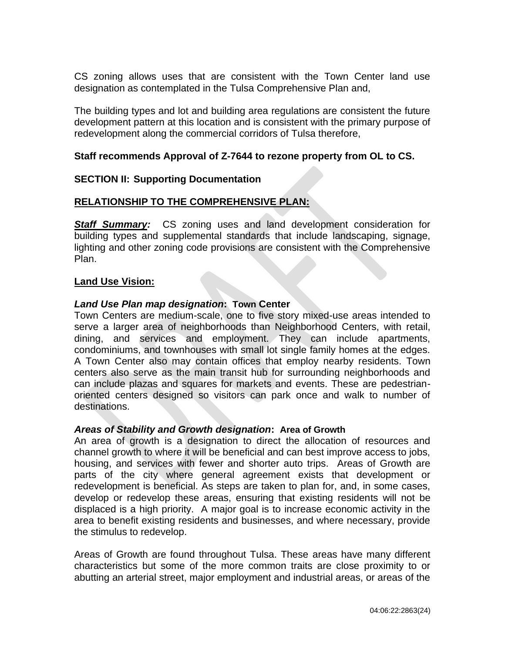CS zoning allows uses that are consistent with the Town Center land use designation as contemplated in the Tulsa Comprehensive Plan and,

The building types and lot and building area regulations are consistent the future development pattern at this location and is consistent with the primary purpose of redevelopment along the commercial corridors of Tulsa therefore,

## **Staff recommends Approval of Z-7644 to rezone property from OL to CS.**

#### **SECTION II: Supporting Documentation**

#### **RELATIONSHIP TO THE COMPREHENSIVE PLAN:**

**Staff Summary:** CS zoning uses and land development consideration for building types and supplemental standards that include landscaping, signage, lighting and other zoning code provisions are consistent with the Comprehensive Plan.

#### **Land Use Vision:**

#### *Land Use Plan map designation***: Town Center**

Town Centers are medium-scale, one to five story mixed-use areas intended to serve a larger area of neighborhoods than Neighborhood Centers, with retail, dining, and services and employment. They can include apartments, condominiums, and townhouses with small lot single family homes at the edges. A Town Center also may contain offices that employ nearby residents. Town centers also serve as the main transit hub for surrounding neighborhoods and can include plazas and squares for markets and events. These are pedestrianoriented centers designed so visitors can park once and walk to number of destinations.

#### *Areas of Stability and Growth designation***: Area of Growth**

An area of growth is a designation to direct the allocation of resources and channel growth to where it will be beneficial and can best improve access to jobs, housing, and services with fewer and shorter auto trips. Areas of Growth are parts of the city where general agreement exists that development or redevelopment is beneficial. As steps are taken to plan for, and, in some cases, develop or redevelop these areas, ensuring that existing residents will not be displaced is a high priority. A major goal is to increase economic activity in the area to benefit existing residents and businesses, and where necessary, provide the stimulus to redevelop.

Areas of Growth are found throughout Tulsa. These areas have many different characteristics but some of the more common traits are close proximity to or abutting an arterial street, major employment and industrial areas, or areas of the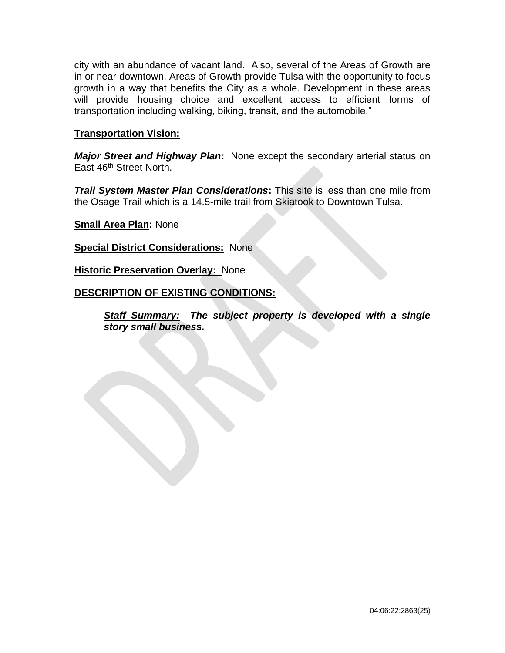city with an abundance of vacant land. Also, several of the Areas of Growth are in or near downtown. Areas of Growth provide Tulsa with the opportunity to focus growth in a way that benefits the City as a whole. Development in these areas will provide housing choice and excellent access to efficient forms of transportation including walking, biking, transit, and the automobile."

## **Transportation Vision:**

*Major Street and Highway Plan***:** None except the secondary arterial status on East 46<sup>th</sup> Street North.

*Trail System Master Plan Considerations*: This site is less than one mile from the Osage Trail which is a 14.5-mile trail from Skiatook to Downtown Tulsa.

**Small Area Plan:** None

**Special District Considerations:** None

**Historic Preservation Overlay:** None

## **DESCRIPTION OF EXISTING CONDITIONS:**

*Staff Summary: The subject property is developed with a single story small business.*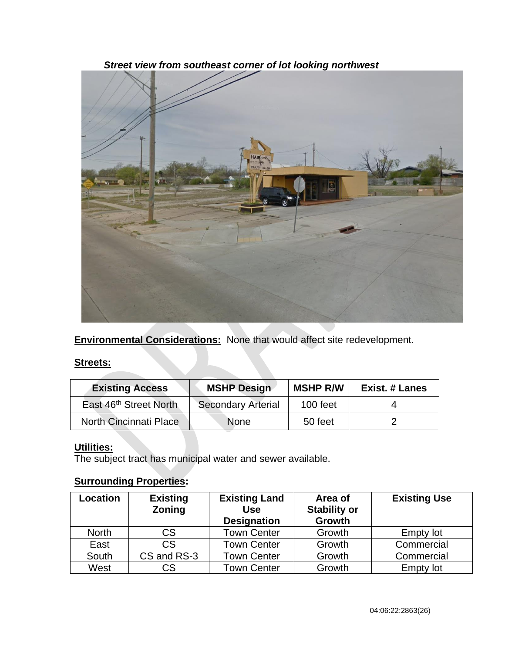

*Street view from southeast corner of lot looking northwest*

**Environmental Considerations:** None that would affect site redevelopment.

## **Streets:**

| <b>Existing Access</b>             | <b>MSHP Design</b>        | <b>MSHP R/W</b> | <b>Exist. # Lanes</b> |
|------------------------------------|---------------------------|-----------------|-----------------------|
| East 46 <sup>th</sup> Street North | <b>Secondary Arterial</b> | 100 feet        |                       |
| North Cincinnati Place             | <b>None</b>               | 50 feet         |                       |

# **Utilities:**

The subject tract has municipal water and sewer available.

# **Surrounding Properties:**

| Location     | <b>Existing</b><br><b>Zoning</b> | <b>Existing Land</b><br><b>Use</b><br><b>Designation</b> | Area of<br><b>Stability or</b><br>Growth | <b>Existing Use</b> |
|--------------|----------------------------------|----------------------------------------------------------|------------------------------------------|---------------------|
| <b>North</b> | <b>CS</b>                        | <b>Town Center</b>                                       | Growth                                   | <b>Empty lot</b>    |
| East         | <b>CS</b>                        | <b>Town Center</b>                                       | Growth                                   | Commercial          |
| South        | CS and RS-3                      | <b>Town Center</b>                                       | Growth                                   | Commercial          |
| West         | CS                               | <b>Town Center</b>                                       | Growth                                   | <b>Empty lot</b>    |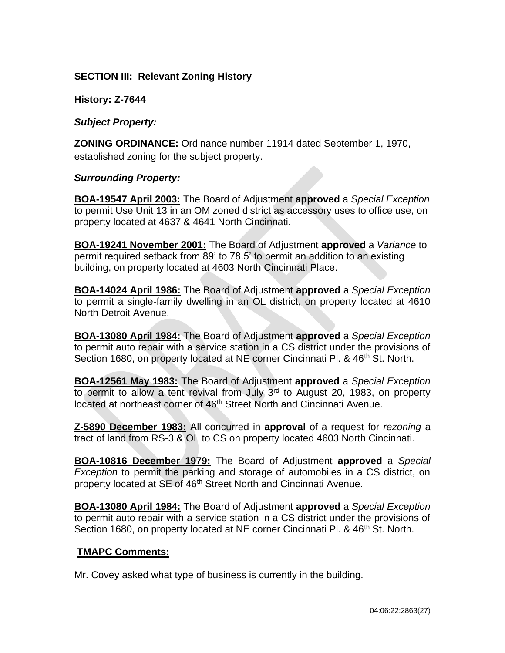## **SECTION III: Relevant Zoning History**

**History: Z-7644**

*Subject Property:* 

**ZONING ORDINANCE:** Ordinance number 11914 dated September 1, 1970, established zoning for the subject property.

#### *Surrounding Property:*

**BOA-19547 April 2003:** The Board of Adjustment **approved** a *Special Exception*  to permit Use Unit 13 in an OM zoned district as accessory uses to office use, on property located at 4637 & 4641 North Cincinnati.

**BOA-19241 November 2001:** The Board of Adjustment **approved** a *Variance* to permit required setback from 89' to 78.5' to permit an addition to an existing building, on property located at 4603 North Cincinnati Place.

**BOA-14024 April 1986:** The Board of Adjustment **approved** a *Special Exception*  to permit a single-family dwelling in an OL district, on property located at 4610 North Detroit Avenue.

**BOA-13080 April 1984:** The Board of Adjustment **approved** a *Special Exception*  to permit auto repair with a service station in a CS district under the provisions of Section 1680, on property located at NE corner Cincinnati Pl. & 46<sup>th</sup> St. North.

**BOA-12561 May 1983:** The Board of Adjustment **approved** a *Special Exception*  to permit to allow a tent revival from July  $3<sup>rd</sup>$  to August 20, 1983, on property located at northeast corner of 46<sup>th</sup> Street North and Cincinnati Avenue.

**Z-5890 December 1983:** All concurred in **approval** of a request for *rezoning* a tract of land from RS-3 & OL to CS on property located 4603 North Cincinnati.

**BOA-10816 December 1979:** The Board of Adjustment **approved** a *Special Exception* to permit the parking and storage of automobiles in a CS district, on property located at SE of 46<sup>th</sup> Street North and Cincinnati Avenue.

**BOA-13080 April 1984:** The Board of Adjustment **approved** a *Special Exception*  to permit auto repair with a service station in a CS district under the provisions of Section 1680, on property located at NE corner Cincinnati Pl. & 46<sup>th</sup> St. North.

## **TMAPC Comments:**

Mr. Covey asked what type of business is currently in the building.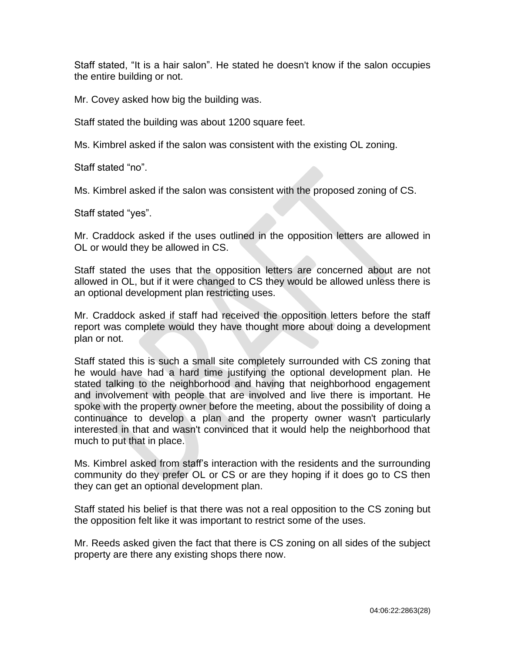Staff stated, "It is a hair salon". He stated he doesn't know if the salon occupies the entire building or not.

Mr. Covey asked how big the building was.

Staff stated the building was about 1200 square feet.

Ms. Kimbrel asked if the salon was consistent with the existing OL zoning.

Staff stated "no".

Ms. Kimbrel asked if the salon was consistent with the proposed zoning of CS.

Staff stated "yes".

Mr. Craddock asked if the uses outlined in the opposition letters are allowed in OL or would they be allowed in CS.

Staff stated the uses that the opposition letters are concerned about are not allowed in OL, but if it were changed to CS they would be allowed unless there is an optional development plan restricting uses.

Mr. Craddock asked if staff had received the opposition letters before the staff report was complete would they have thought more about doing a development plan or not.

Staff stated this is such a small site completely surrounded with CS zoning that he would have had a hard time justifying the optional development plan. He stated talking to the neighborhood and having that neighborhood engagement and involvement with people that are involved and live there is important. He spoke with the property owner before the meeting, about the possibility of doing a continuance to develop a plan and the property owner wasn't particularly interested in that and wasn't convinced that it would help the neighborhood that much to put that in place.

Ms. Kimbrel asked from staff's interaction with the residents and the surrounding community do they prefer OL or CS or are they hoping if it does go to CS then they can get an optional development plan.

Staff stated his belief is that there was not a real opposition to the CS zoning but the opposition felt like it was important to restrict some of the uses.

Mr. Reeds asked given the fact that there is CS zoning on all sides of the subject property are there any existing shops there now.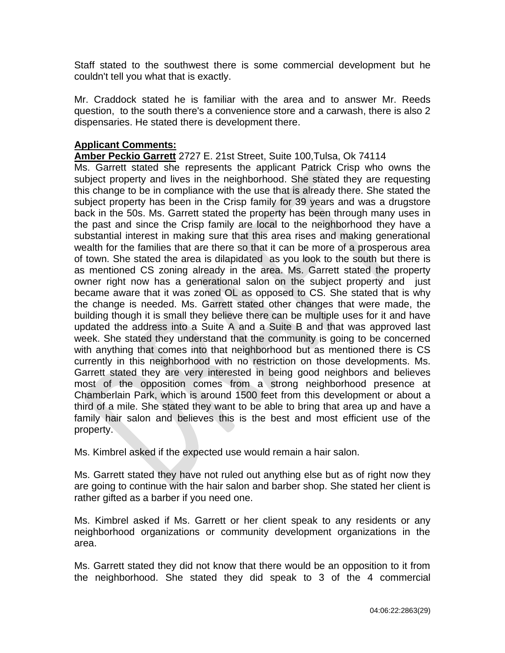Staff stated to the southwest there is some commercial development but he couldn't tell you what that is exactly.

Mr. Craddock stated he is familiar with the area and to answer Mr. Reeds question, to the south there's a convenience store and a carwash, there is also 2 dispensaries. He stated there is development there.

## **Applicant Comments:**

## **Amber Peckio Garrett** [2727 E. 21st Street, Suite 100,Tulsa, Ok 74114](https://goo.gl/maps/dxQj4qCNq3z9ghHb6)

Ms. Garrett stated she represents the applicant Patrick Crisp who owns the subject property and lives in the neighborhood. She stated they are requesting this change to be in compliance with the use that is already there. She stated the subject property has been in the Crisp family for 39 years and was a drugstore back in the 50s. Ms. Garrett stated the property has been through many uses in the past and since the Crisp family are local to the neighborhood they have a substantial interest in making sure that this area rises and making generational wealth for the families that are there so that it can be more of a prosperous area of town. She stated the area is dilapidated as you look to the south but there is as mentioned CS zoning already in the area. Ms. Garrett stated the property owner right now has a generational salon on the subject property and just became aware that it was zoned OL as opposed to CS. She stated that is why the change is needed. Ms. Garrett stated other changes that were made, the building though it is small they believe there can be multiple uses for it and have updated the address into a Suite A and a Suite B and that was approved last week. She stated they understand that the community is going to be concerned with anything that comes into that neighborhood but as mentioned there is CS currently in this neighborhood with no restriction on those developments. Ms. Garrett stated they are very interested in being good neighbors and believes most of the opposition comes from a strong neighborhood presence at Chamberlain Park, which is around 1500 feet from this development or about a third of a mile. She stated they want to be able to bring that area up and have a family hair salon and believes this is the best and most efficient use of the property.

Ms. Kimbrel asked if the expected use would remain a hair salon.

Ms. Garrett stated they have not ruled out anything else but as of right now they are going to continue with the hair salon and barber shop. She stated her client is rather gifted as a barber if you need one.

Ms. Kimbrel asked if Ms. Garrett or her client speak to any residents or any neighborhood organizations or community development organizations in the area.

Ms. Garrett stated they did not know that there would be an opposition to it from the neighborhood. She stated they did speak to 3 of the 4 commercial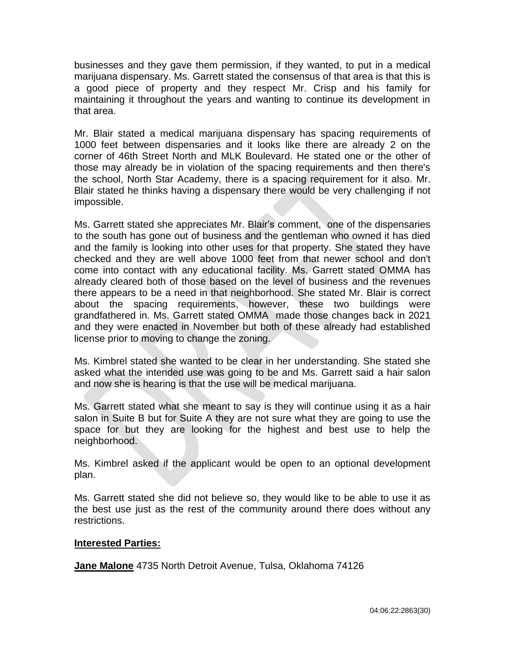businesses and they gave them permission, if they wanted, to put in a medical marijuana dispensary. Ms. Garrett stated the consensus of that area is that this is a good piece of property and they respect Mr. Crisp and his family for maintaining it throughout the years and wanting to continue its development in that area.

Mr. Blair stated a medical marijuana dispensary has spacing requirements of 1000 feet between dispensaries and it looks like there are already 2 on the corner of 46th Street North and MLK Boulevard. He stated one or the other of those may already be in violation of the spacing requirements and then there's the school, North Star Academy, there is a spacing requirement for it also. Mr. Blair stated he thinks having a dispensary there would be very challenging if not impossible.

Ms. Garrett stated she appreciates Mr. Blair's comment, one of the dispensaries to the south has gone out of business and the gentleman who owned it has died and the family is looking into other uses for that property. She stated they have checked and they are well above 1000 feet from that newer school and don't come into contact with any educational facility. Ms. Garrett stated OMMA has already cleared both of those based on the level of business and the revenues there appears to be a need in that neighborhood. She stated Mr. Blair is correct about the spacing requirements, however, these two buildings were grandfathered in. Ms. Garrett stated OMMA made those changes back in 2021 and they were enacted in November but both of these already had established license prior to moving to change the zoning.

Ms. Kimbrel stated she wanted to be clear in her understanding. She stated she asked what the intended use was going to be and Ms. Garrett said a hair salon and now she is hearing is that the use will be medical marijuana.

Ms. Garrett stated what she meant to say is they will continue using it as a hair salon in Suite B but for Suite A they are not sure what they are going to use the space for but they are looking for the highest and best use to help the neighborhood.

Ms. Kimbrel asked if the applicant would be open to an optional development plan.

Ms. Garrett stated she did not believe so, they would like to be able to use it as the best use just as the rest of the community around there does without any restrictions.

## **Interested Parties:**

**Jane Malone** 4735 North Detroit Avenue, Tulsa, Oklahoma 74126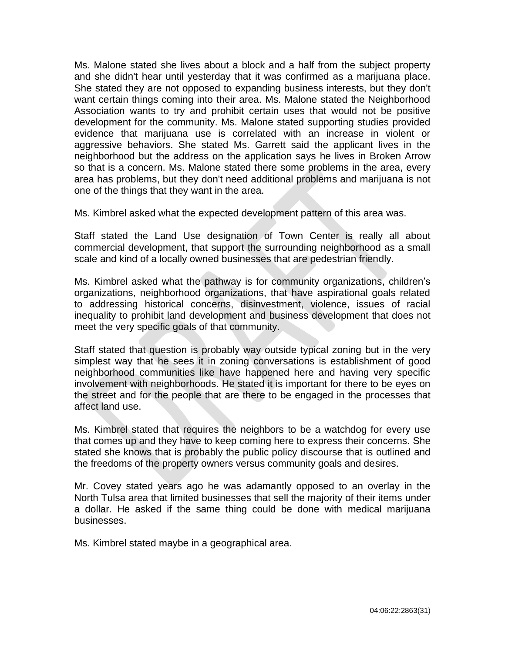Ms. Malone stated she lives about a block and a half from the subject property and she didn't hear until yesterday that it was confirmed as a marijuana place. She stated they are not opposed to expanding business interests, but they don't want certain things coming into their area. Ms. Malone stated the Neighborhood Association wants to try and prohibit certain uses that would not be positive development for the community. Ms. Malone stated supporting studies provided evidence that marijuana use is correlated with an increase in violent or aggressive behaviors. She stated Ms. Garrett said the applicant lives in the neighborhood but the address on the application says he lives in Broken Arrow so that is a concern. Ms. Malone stated there some problems in the area, every area has problems, but they don't need additional problems and marijuana is not one of the things that they want in the area.

Ms. Kimbrel asked what the expected development pattern of this area was.

Staff stated the Land Use designation of Town Center is really all about commercial development, that support the surrounding neighborhood as a small scale and kind of a locally owned businesses that are pedestrian friendly.

Ms. Kimbrel asked what the pathway is for community organizations, children's organizations, neighborhood organizations, that have aspirational goals related to addressing historical concerns, disinvestment, violence, issues of racial inequality to prohibit land development and business development that does not meet the very specific goals of that community.

Staff stated that question is probably way outside typical zoning but in the very simplest way that he sees it in zoning conversations is establishment of good neighborhood communities like have happened here and having very specific involvement with neighborhoods. He stated it is important for there to be eyes on the street and for the people that are there to be engaged in the processes that affect land use.

Ms. Kimbrel stated that requires the neighbors to be a watchdog for every use that comes up and they have to keep coming here to express their concerns. She stated she knows that is probably the public policy discourse that is outlined and the freedoms of the property owners versus community goals and desires.

Mr. Covey stated years ago he was adamantly opposed to an overlay in the North Tulsa area that limited businesses that sell the majority of their items under a dollar. He asked if the same thing could be done with medical marijuana businesses.

Ms. Kimbrel stated maybe in a geographical area.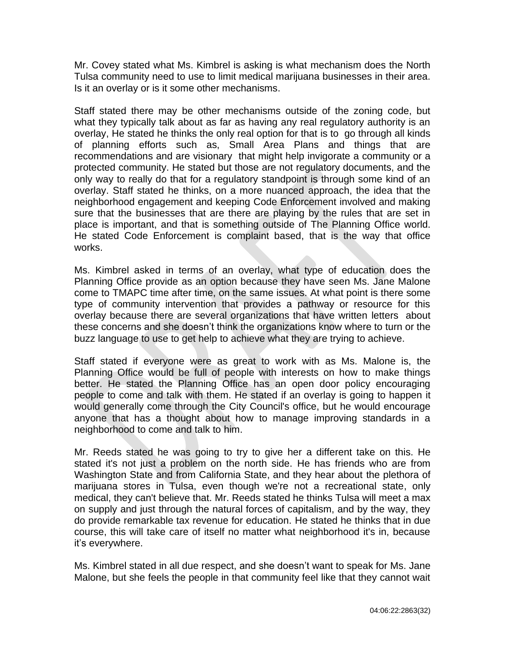Mr. Covey stated what Ms. Kimbrel is asking is what mechanism does the North Tulsa community need to use to limit medical marijuana businesses in their area. Is it an overlay or is it some other mechanisms.

Staff stated there may be other mechanisms outside of the zoning code, but what they typically talk about as far as having any real regulatory authority is an overlay, He stated he thinks the only real option for that is to go through all kinds of planning efforts such as, Small Area Plans and things that are recommendations and are visionary that might help invigorate a community or a protected community. He stated but those are not regulatory documents, and the only way to really do that for a regulatory standpoint is through some kind of an overlay. Staff stated he thinks, on a more nuanced approach, the idea that the neighborhood engagement and keeping Code Enforcement involved and making sure that the businesses that are there are playing by the rules that are set in place is important, and that is something outside of The Planning Office world. He stated Code Enforcement is complaint based, that is the way that office works.

Ms. Kimbrel asked in terms of an overlay, what type of education does the Planning Office provide as an option because they have seen Ms. Jane Malone come to TMAPC time after time, on the same issues. At what point is there some type of community intervention that provides a pathway or resource for this overlay because there are several organizations that have written letters about these concerns and she doesn't think the organizations know where to turn or the buzz language to use to get help to achieve what they are trying to achieve.

Staff stated if everyone were as great to work with as Ms. Malone is, the Planning Office would be full of people with interests on how to make things better. He stated the Planning Office has an open door policy encouraging people to come and talk with them. He stated if an overlay is going to happen it would generally come through the City Council's office, but he would encourage anyone that has a thought about how to manage improving standards in a neighborhood to come and talk to him.

Mr. Reeds stated he was going to try to give her a different take on this. He stated it's not just a problem on the north side. He has friends who are from Washington State and from California State, and they hear about the plethora of marijuana stores in Tulsa, even though we're not a recreational state, only medical, they can't believe that. Mr. Reeds stated he thinks Tulsa will meet a max on supply and just through the natural forces of capitalism, and by the way, they do provide remarkable tax revenue for education. He stated he thinks that in due course, this will take care of itself no matter what neighborhood it's in, because it's everywhere.

Ms. Kimbrel stated in all due respect, and she doesn't want to speak for Ms. Jane Malone, but she feels the people in that community feel like that they cannot wait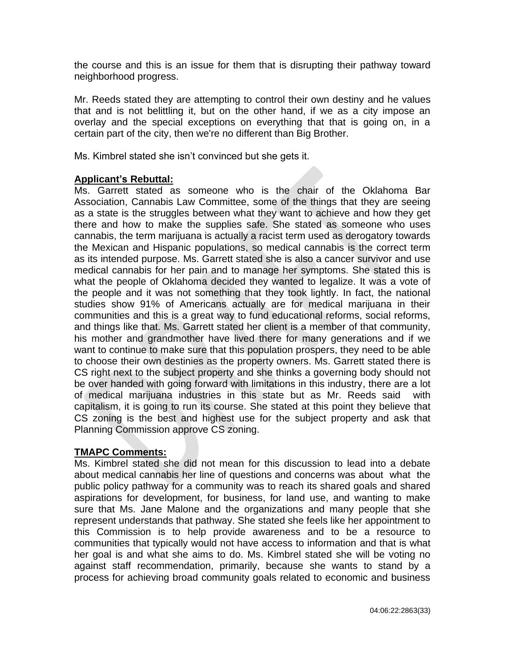the course and this is an issue for them that is disrupting their pathway toward neighborhood progress.

Mr. Reeds stated they are attempting to control their own destiny and he values that and is not belittling it, but on the other hand, if we as a city impose an overlay and the special exceptions on everything that that is going on, in a certain part of the city, then we're no different than Big Brother.

Ms. Kimbrel stated she isn't convinced but she gets it.

## **Applicant's Rebuttal:**

Ms. Garrett stated as someone who is the chair of the Oklahoma Bar Association, Cannabis Law Committee, some of the things that they are seeing as a state is the struggles between what they want to achieve and how they get there and how to make the supplies safe. She stated as someone who uses cannabis, the term marijuana is actually a racist term used as derogatory towards the Mexican and Hispanic populations, so medical cannabis is the correct term as its intended purpose. Ms. Garrett stated she is also a cancer survivor and use medical cannabis for her pain and to manage her symptoms. She stated this is what the people of Oklahoma decided they wanted to legalize. It was a vote of the people and it was not something that they took lightly. In fact, the national studies show 91% of Americans actually are for medical marijuana in their communities and this is a great way to fund educational reforms, social reforms, and things like that. Ms. Garrett stated her client is a member of that community, his mother and grandmother have lived there for many generations and if we want to continue to make sure that this population prospers, they need to be able to choose their own destinies as the property owners. Ms. Garrett stated there is CS right next to the subject property and she thinks a governing body should not be over handed with going forward with limitations in this industry, there are a lot of medical marijuana industries in this state but as Mr. Reeds said with capitalism, it is going to run its course. She stated at this point they believe that CS zoning is the best and highest use for the subject property and ask that Planning Commission approve CS zoning.

## **TMAPC Comments:**

Ms. Kimbrel stated she did not mean for this discussion to lead into a debate about medical cannabis her line of questions and concerns was about what the public policy pathway for a community was to reach its shared goals and shared aspirations for development, for business, for land use, and wanting to make sure that Ms. Jane Malone and the organizations and many people that she represent understands that pathway. She stated she feels like her appointment to this Commission is to help provide awareness and to be a resource to communities that typically would not have access to information and that is what her goal is and what she aims to do. Ms. Kimbrel stated she will be voting no against staff recommendation, primarily, because she wants to stand by a process for achieving broad community goals related to economic and business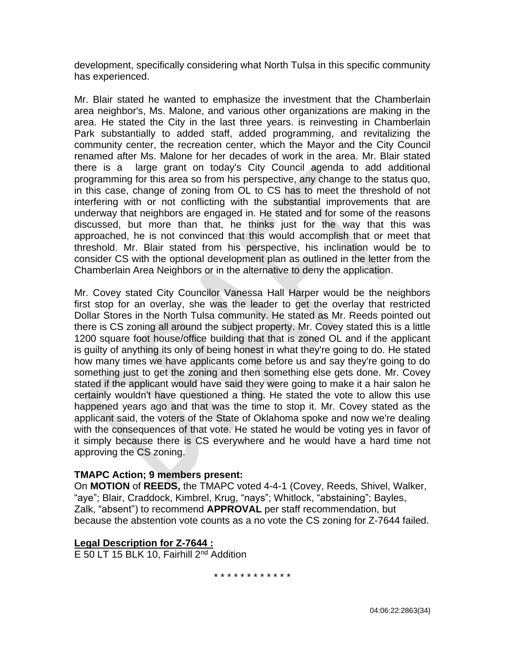development, specifically considering what North Tulsa in this specific community has experienced.

Mr. Blair stated he wanted to emphasize the investment that the Chamberlain area neighbor's, Ms. Malone, and various other organizations are making in the area. He stated the City in the last three years. is reinvesting in Chamberlain Park substantially to added staff, added programming, and revitalizing the community center, the recreation center, which the Mayor and the City Council renamed after Ms. Malone for her decades of work in the area. Mr. Blair stated there is a large grant on today's City Council agenda to add additional programming for this area so from his perspective, any change to the status quo, in this case, change of zoning from OL to CS has to meet the threshold of not interfering with or not conflicting with the substantial improvements that are underway that neighbors are engaged in. He stated and for some of the reasons discussed, but more than that, he thinks just for the way that this was approached, he is not convinced that this would accomplish that or meet that threshold. Mr. Blair stated from his perspective, his inclination would be to consider CS with the optional development plan as outlined in the letter from the Chamberlain Area Neighbors or in the alternative to deny the application.

Mr. Covey stated City Councilor Vanessa Hall Harper would be the neighbors first stop for an overlay, she was the leader to get the overlay that restricted Dollar Stores in the North Tulsa community. He stated as Mr. Reeds pointed out there is CS zoning all around the subject property. Mr. Covey stated this is a little 1200 square foot house/office building that that is zoned OL and if the applicant is guilty of anything its only of being honest in what they're going to do. He stated how many times we have applicants come before us and say they're going to do something just to get the zoning and then something else gets done. Mr. Covey stated if the applicant would have said they were going to make it a hair salon he certainly wouldn't have questioned a thing. He stated the vote to allow this use happened years ago and that was the time to stop it. Mr. Covey stated as the applicant said, the voters of the State of Oklahoma spoke and now we're dealing with the consequences of that vote. He stated he would be voting yes in favor of it simply because there is CS everywhere and he would have a hard time not approving the CS zoning.

## **TMAPC Action; 9 members present:**

On **MOTION** of **REEDS,** the TMAPC voted 4-4-1 (Covey, Reeds, Shivel, Walker, "aye"; Blair, Craddock, Kimbrel, Krug, "nays"; Whitlock, "abstaining"; Bayles, Zalk, "absent") to recommend **APPROVAL** per staff recommendation, but because the abstention vote counts as a no vote the CS zoning for Z-7644 failed.

## **Legal Description for Z-7644 :**

E 50 LT 15 BLK 10, Fairhill  $2^{nd}$  Addition

\* \* \* \* \* \* \* \* \* \* \* \*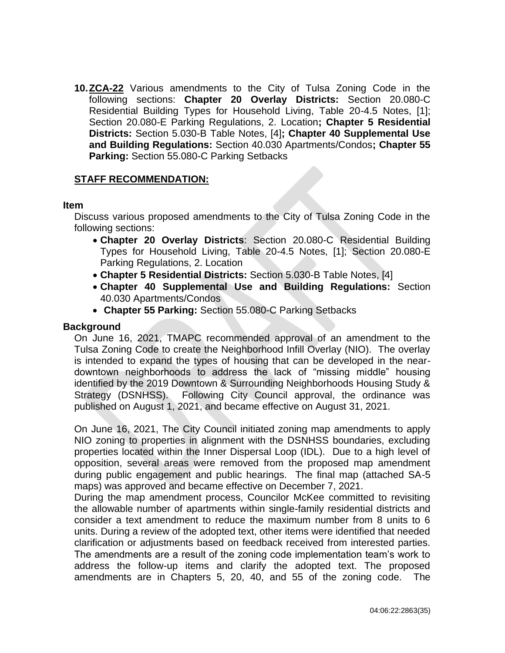**10.ZCA-22** Various amendments to the City of Tulsa Zoning Code in the following sections: **Chapter 20 Overlay Districts:** Section 20.080-C Residential Building Types for Household Living, Table 20-4.5 Notes, [1]; Section 20.080-E Parking Regulations, 2. Location**; Chapter 5 Residential Districts:** Section 5.030-B Table Notes, [4]**; Chapter 40 Supplemental Use and Building Regulations:** Section 40.030 Apartments/Condos**; Chapter 55 Parking:** Section 55.080-C Parking Setbacks

#### **STAFF RECOMMENDATION:**

#### **Item**

Discuss various proposed amendments to the City of Tulsa Zoning Code in the following sections:

- **Chapter 20 Overlay Districts**: Section 20.080-C Residential Building Types for Household Living, Table 20-4.5 Notes, [1]; Section 20.080-E Parking Regulations, 2. Location
- **Chapter 5 Residential Districts:** Section 5.030-B Table Notes, [4]
- **Chapter 40 Supplemental Use and Building Regulations:** Section 40.030 Apartments/Condos
- **Chapter 55 Parking:** Section 55.080-C Parking Setbacks

#### **Background**

On June 16, 2021, TMAPC recommended approval of an amendment to the Tulsa Zoning Code to create the Neighborhood Infill Overlay (NIO). The overlay is intended to expand the types of housing that can be developed in the neardowntown neighborhoods to address the lack of "missing middle" housing identified by the 2019 Downtown & Surrounding Neighborhoods Housing Study & Strategy (DSNHSS). Following City Council approval, the ordinance was published on August 1, 2021, and became effective on August 31, 2021.

On June 16, 2021, The City Council initiated zoning map amendments to apply NIO zoning to properties in alignment with the DSNHSS boundaries, excluding properties located within the Inner Dispersal Loop (IDL). Due to a high level of opposition, several areas were removed from the proposed map amendment during public engagement and public hearings. The final map (attached SA-5 maps) was approved and became effective on December 7, 2021.

During the map amendment process, Councilor McKee committed to revisiting the allowable number of apartments within single-family residential districts and consider a text amendment to reduce the maximum number from 8 units to 6 units. During a review of the adopted text, other items were identified that needed clarification or adjustments based on feedback received from interested parties. The amendments are a result of the zoning code implementation team's work to address the follow-up items and clarify the adopted text. The proposed amendments are in Chapters 5, 20, 40, and 55 of the zoning code. The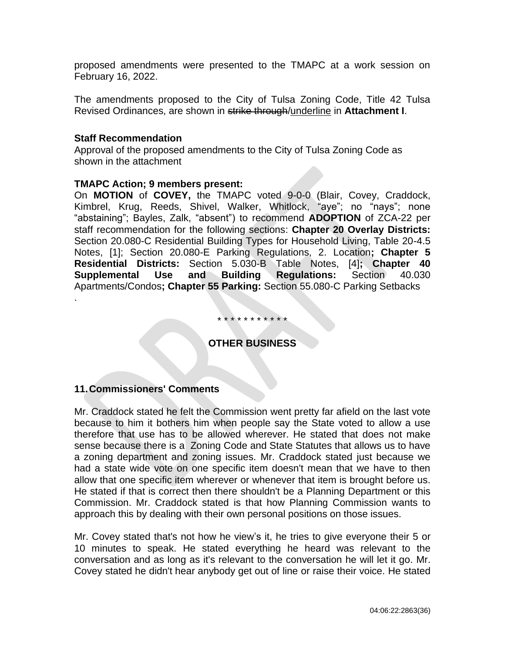proposed amendments were presented to the TMAPC at a work session on February 16, 2022.

The amendments proposed to the City of Tulsa Zoning Code, Title 42 Tulsa Revised Ordinances, are shown in strike through/underline in **Attachment I**.

#### **Staff Recommendation**

.

Approval of the proposed amendments to the City of Tulsa Zoning Code as shown in the attachment

#### **TMAPC Action; 9 members present:**

On **MOTION** of **COVEY,** the TMAPC voted 9-0-0 (Blair, Covey, Craddock, Kimbrel, Krug, Reeds, Shivel, Walker, Whitlock, "aye"; no "nays"; none "abstaining"; Bayles, Zalk, "absent") to recommend **ADOPTION** of ZCA-22 per staff recommendation for the following sections: **Chapter 20 Overlay Districts:**  Section 20.080-C Residential Building Types for Household Living, Table 20-4.5 Notes, [1]; Section 20.080-E Parking Regulations, 2. Location**; Chapter 5 Residential Districts:** Section 5.030-B Table Notes, [4]**; Chapter 40 Supplemental Use and Building Regulations:** Section 40.030 Apartments/Condos**; Chapter 55 Parking:** Section 55.080-C Parking Setbacks

#### \* \* \* \* \* \* \* \* \* \* \*

# **OTHER BUSINESS**

## **11.Commissioners' Comments**

Mr. Craddock stated he felt the Commission went pretty far afield on the last vote because to him it bothers him when people say the State voted to allow a use therefore that use has to be allowed wherever. He stated that does not make sense because there is a Zoning Code and State Statutes that allows us to have a zoning department and zoning issues. Mr. Craddock stated just because we had a state wide vote on one specific item doesn't mean that we have to then allow that one specific item wherever or whenever that item is brought before us. He stated if that is correct then there shouldn't be a Planning Department or this Commission. Mr. Craddock stated is that how Planning Commission wants to approach this by dealing with their own personal positions on those issues.

Mr. Covey stated that's not how he view's it, he tries to give everyone their 5 or 10 minutes to speak. He stated everything he heard was relevant to the conversation and as long as it's relevant to the conversation he will let it go. Mr. Covey stated he didn't hear anybody get out of line or raise their voice. He stated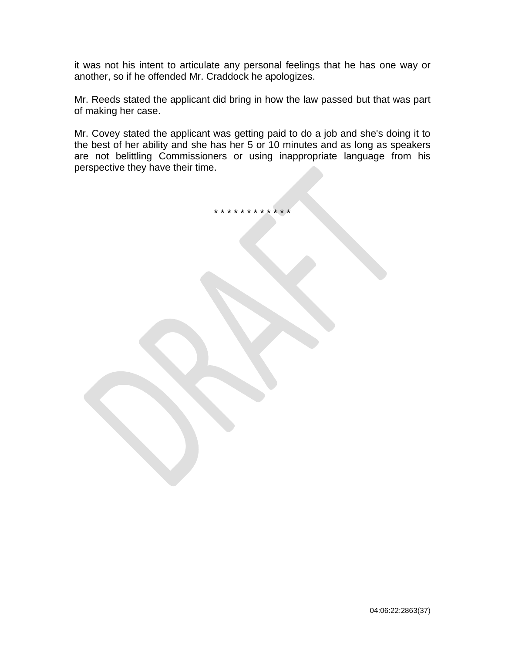it was not his intent to articulate any personal feelings that he has one way or another, so if he offended Mr. Craddock he apologizes.

Mr. Reeds stated the applicant did bring in how the law passed but that was part of making her case.

Mr. Covey stated the applicant was getting paid to do a job and she's doing it to the best of her ability and she has her 5 or 10 minutes and as long as speakers are not belittling Commissioners or using inappropriate language from his perspective they have their time.

\* \* \* \* \* \* \* \* \* \* \* \*